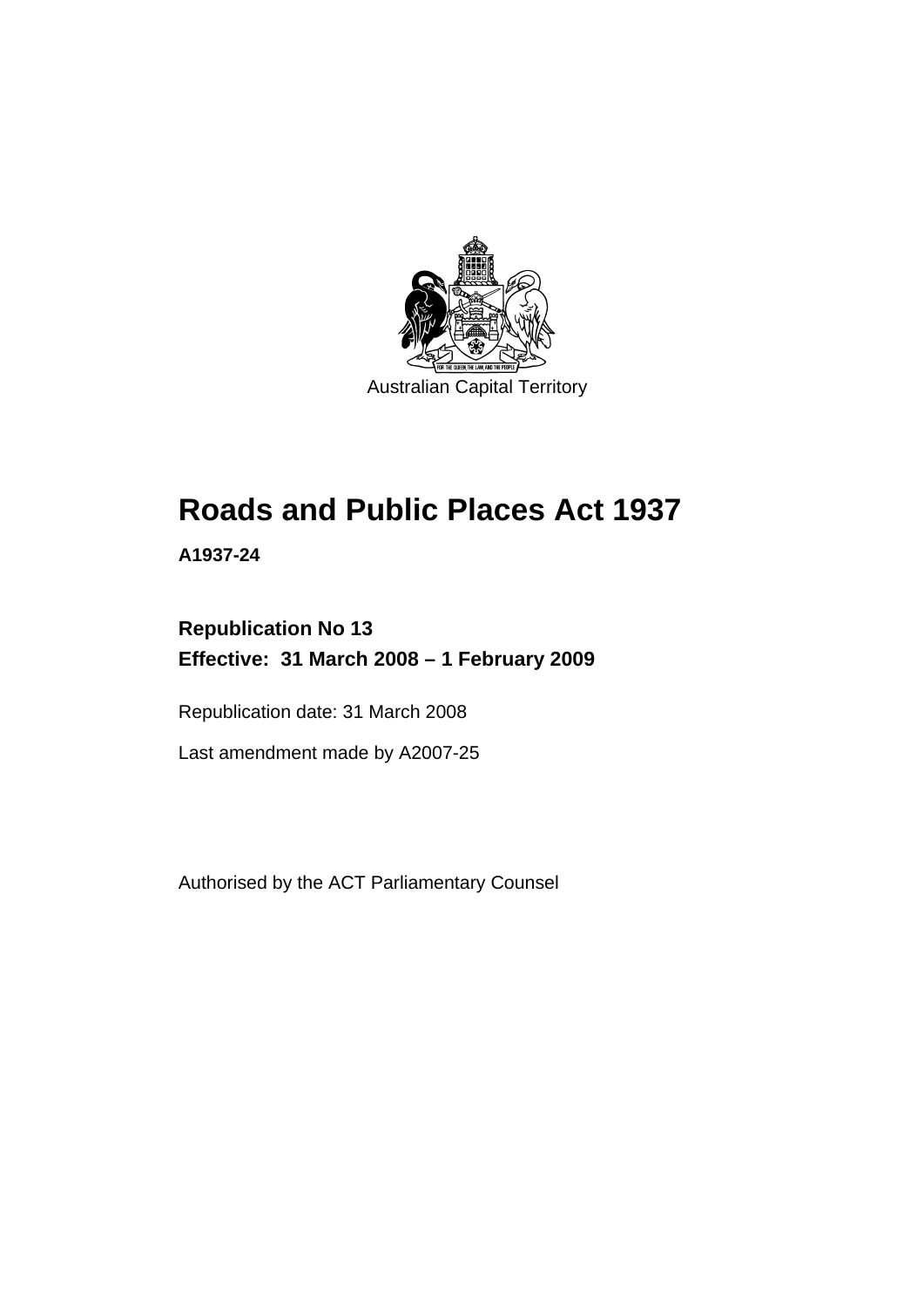

# **[Roads and Public Places Act 1937](#page-6-0)**

**A1937-24** 

## **Republication No 13 Effective: 31 March 2008 – 1 February 2009**

Republication date: 31 March 2008

Last amendment made by A2007-25

Authorised by the ACT Parliamentary Counsel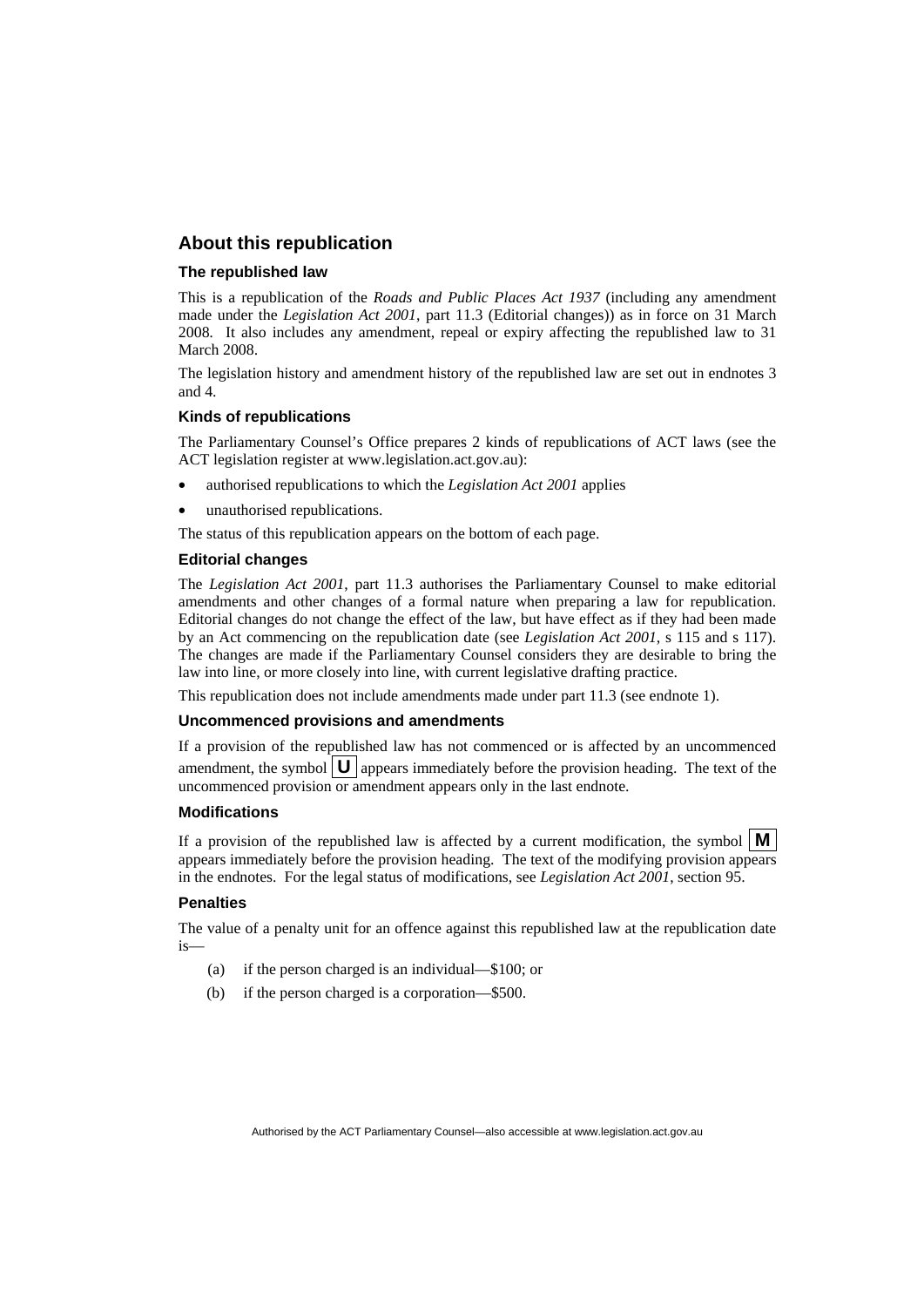## **About this republication**

#### **The republished law**

This is a republication of the *Roads and Public Places Act 1937* (including any amendment made under the *Legislation Act 2001*, part 11.3 (Editorial changes)) as in force on 31 March 2008*.* It also includes any amendment, repeal or expiry affecting the republished law to 31 March 2008.

The legislation history and amendment history of the republished law are set out in endnotes 3 and 4.

#### **Kinds of republications**

The Parliamentary Counsel's Office prepares 2 kinds of republications of ACT laws (see the ACT legislation register at www.legislation.act.gov.au):

- authorised republications to which the *Legislation Act 2001* applies
- unauthorised republications.

The status of this republication appears on the bottom of each page.

#### **Editorial changes**

The *Legislation Act 2001*, part 11.3 authorises the Parliamentary Counsel to make editorial amendments and other changes of a formal nature when preparing a law for republication. Editorial changes do not change the effect of the law, but have effect as if they had been made by an Act commencing on the republication date (see *Legislation Act 2001*, s 115 and s 117). The changes are made if the Parliamentary Counsel considers they are desirable to bring the law into line, or more closely into line, with current legislative drafting practice.

This republication does not include amendments made under part 11.3 (see endnote 1).

#### **Uncommenced provisions and amendments**

If a provision of the republished law has not commenced or is affected by an uncommenced amendment, the symbol  $\mathbf{U}$  appears immediately before the provision heading. The text of the uncommenced provision or amendment appears only in the last endnote.

#### **Modifications**

If a provision of the republished law is affected by a current modification, the symbol  $\mathbf{M}$ appears immediately before the provision heading. The text of the modifying provision appears in the endnotes. For the legal status of modifications, see *Legislation Act 2001*, section 95.

#### **Penalties**

The value of a penalty unit for an offence against this republished law at the republication date is—

- (a) if the person charged is an individual—\$100; or
- (b) if the person charged is a corporation—\$500.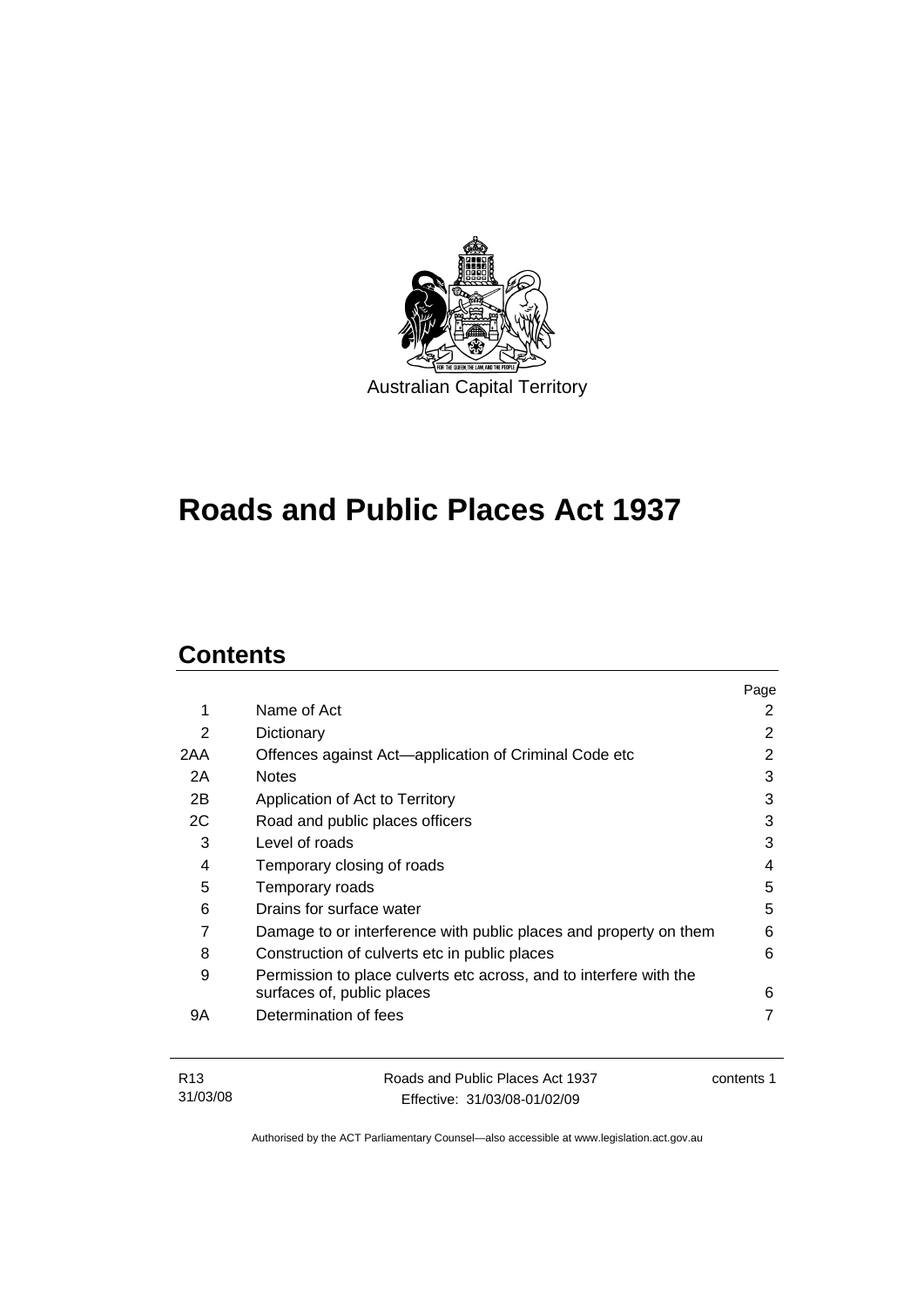

# **[Roads and Public Places Act 1937](#page-6-0)**

## **Contents**

|     |                                                                    | Page |
|-----|--------------------------------------------------------------------|------|
| 1   | Name of Act                                                        | 2    |
| 2   | Dictionary                                                         | 2    |
| 2AA | Offences against Act-application of Criminal Code etc              | 2    |
| 2A  | <b>Notes</b>                                                       | 3    |
| 2B  | Application of Act to Territory                                    | 3    |
| 2C  | Road and public places officers                                    | 3    |
| 3   | Level of roads                                                     | 3    |
| 4   | Temporary closing of roads                                         | 4    |
| 5   | Temporary roads                                                    | 5    |
| 6   | Drains for surface water                                           | 5    |
| 7   | Damage to or interference with public places and property on them  | 6    |
| 8   | Construction of culverts etc in public places                      | 6    |
| 9   | Permission to place culverts etc across, and to interfere with the |      |
|     | surfaces of, public places                                         | 6    |
| 9Α  | Determination of fees                                              |      |
|     |                                                                    |      |

| R13      | Roads and Public Places Act 1937 | contents 1 |
|----------|----------------------------------|------------|
| 31/03/08 | Effective: 31/03/08-01/02/09     |            |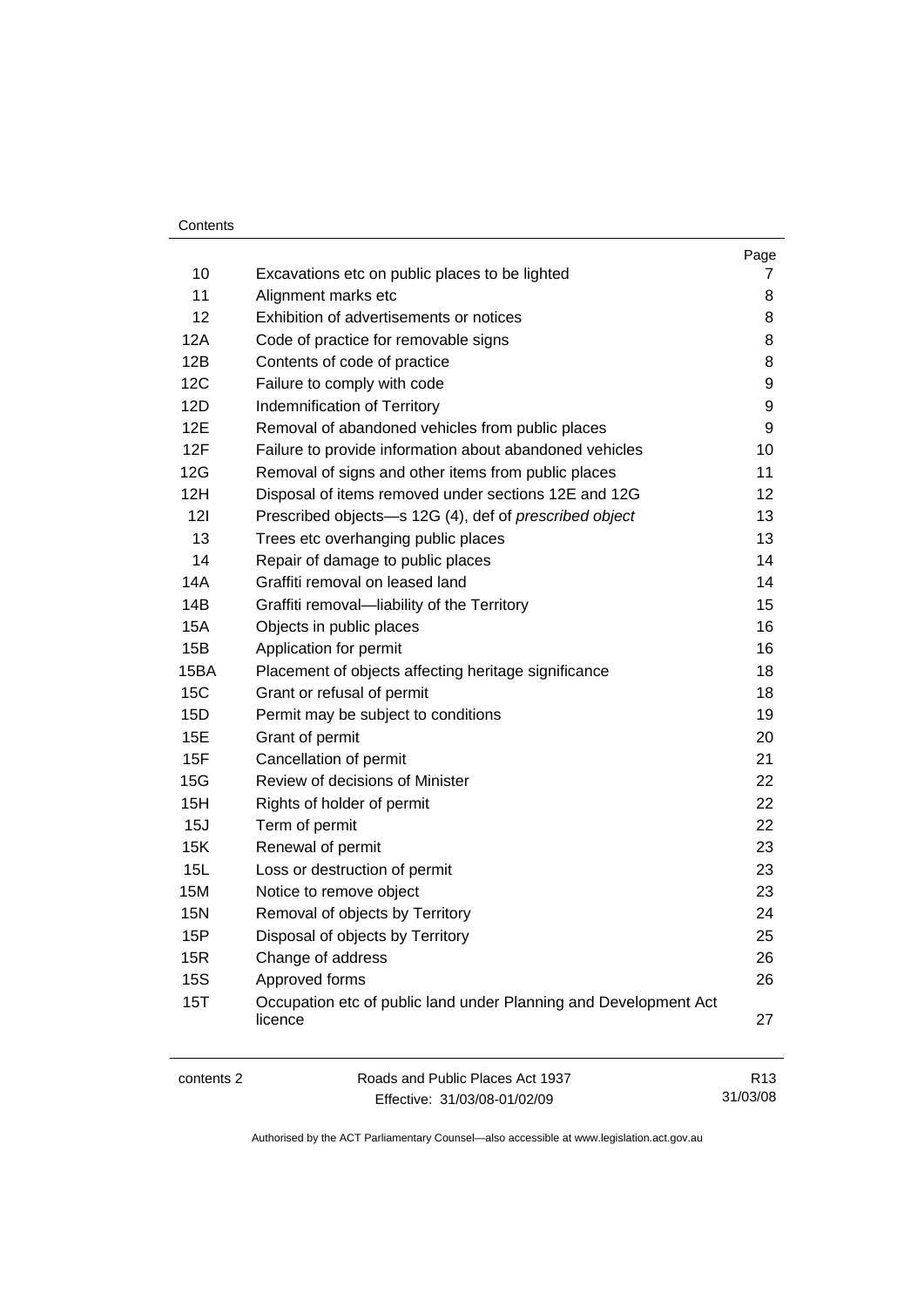#### Contents

| 15P<br>15R | Disposal of objects by Territory<br>Change of address       | 25<br>26 |
|------------|-------------------------------------------------------------|----------|
| <b>15N</b> | Removal of objects by Territory                             | 24       |
| 15M        | Notice to remove object                                     | 23       |
| 15L        | Loss or destruction of permit                               | 23       |
| 15K        | Renewal of permit                                           | 23       |
| 15J        | Term of permit                                              | 22       |
| 15H        | Rights of holder of permit                                  | 22       |
| 15G        | Review of decisions of Minister                             | 22       |
| 15F        | Cancellation of permit                                      | 21       |
| 15E        | Grant of permit                                             | 20       |
| 15D        | Permit may be subject to conditions                         | 19       |
| 15C        | Grant or refusal of permit                                  | 18       |
| 15BA       | Placement of objects affecting heritage significance        | 18       |
| 15B        | Application for permit                                      | 16       |
| 15A        | Objects in public places                                    | 16       |
| 14B        | Graffiti removal-liability of the Territory                 | 15       |
| 14A        | Graffiti removal on leased land                             | 14       |
| 14         | Repair of damage to public places                           | 14       |
| 13         | Trees etc overhanging public places                         | 13       |
| 121        | Prescribed objects-s 12G (4), def of prescribed object      | 13       |
| 12H        | Disposal of items removed under sections 12E and 12G        | 12       |
| 12G        | Removal of signs and other items from public places         | 11       |
| 12F        | Failure to provide information about abandoned vehicles     | 10       |
| 12E        | Removal of abandoned vehicles from public places            | 9        |
| 12D        | Failure to comply with code<br>Indemnification of Territory | 9<br>9   |
| 12B<br>12C | Contents of code of practice                                | 8        |
| 12A        | Code of practice for removable signs                        |          |
| 12         | Exhibition of advertisements or notices                     | 8<br>8   |
| 11         | Alignment marks etc                                         | 8        |
| 10         | Excavations etc on public places to be lighted              | 7        |
|            |                                                             | Page     |

Effective: 31/03/08-01/02/09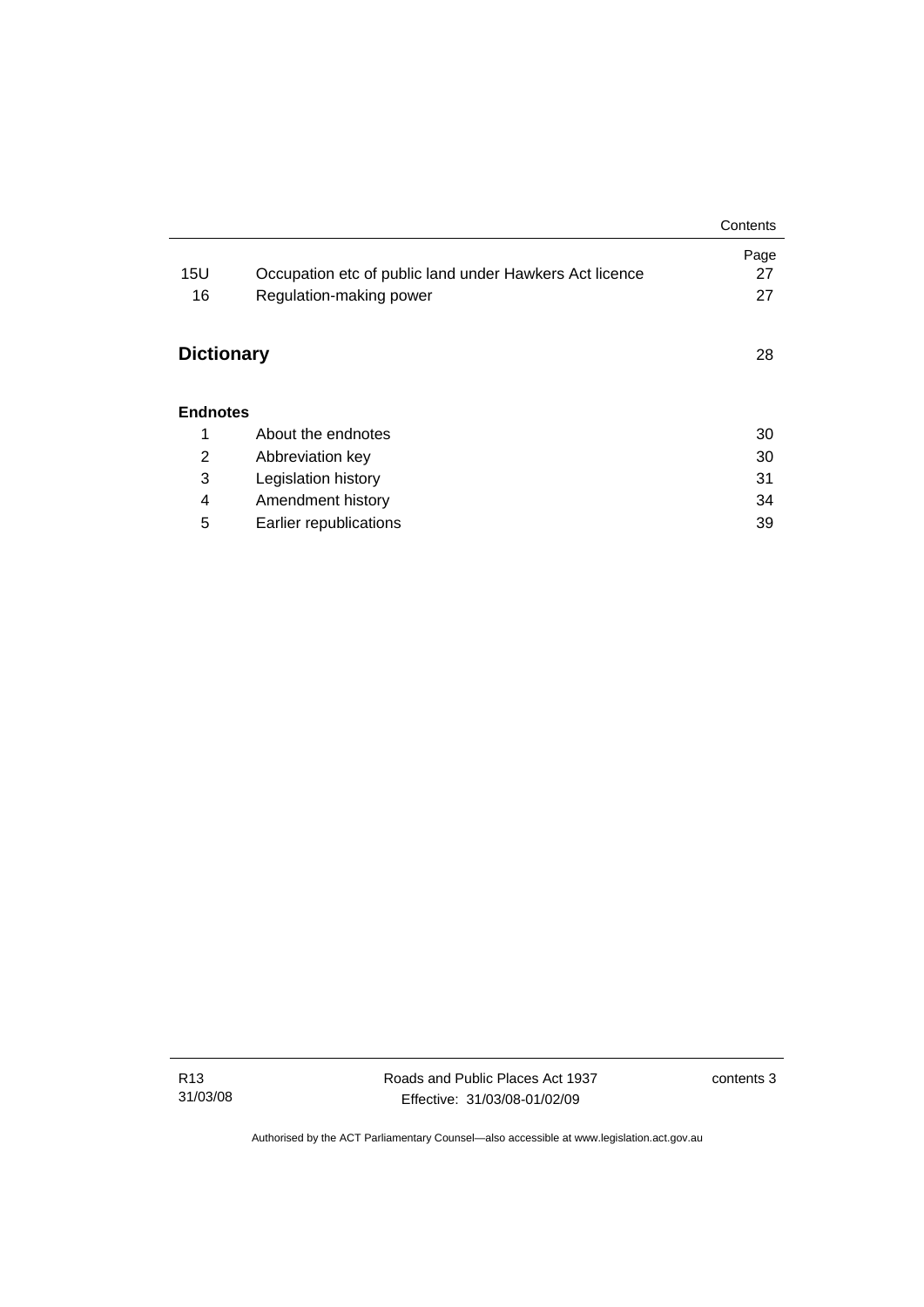|                   |                                                         | Contents |
|-------------------|---------------------------------------------------------|----------|
|                   |                                                         | Page     |
| 15U               | Occupation etc of public land under Hawkers Act licence | 27       |
| 16                | Regulation-making power                                 | 27       |
|                   |                                                         |          |
| <b>Dictionary</b> |                                                         |          |
|                   |                                                         |          |
| <b>Endnotes</b>   |                                                         |          |
| 1                 | About the endnotes                                      | 30       |
| $\overline{2}$    | Abbreviation key                                        | 30       |
| 3                 | Legislation history                                     | 31       |
| 4                 | Amendment history                                       | 34       |
| 5                 | Earlier republications                                  | 39       |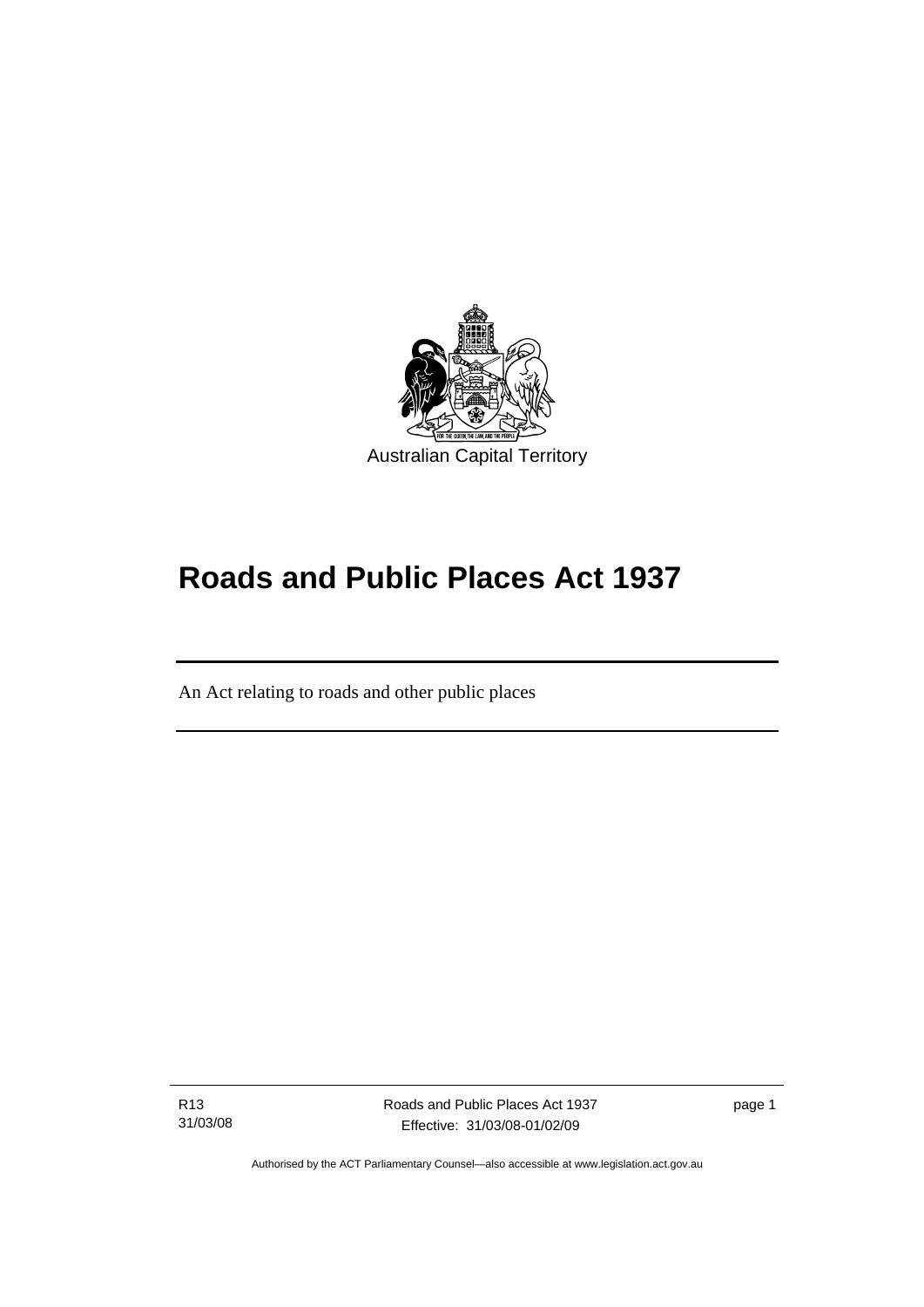<span id="page-6-0"></span>

# **Roads and Public Places Act 1937**

An Act relating to roads and other public places

R13 31/03/08

֖֚֚֚֬

Roads and Public Places Act 1937 Effective: 31/03/08-01/02/09

page 1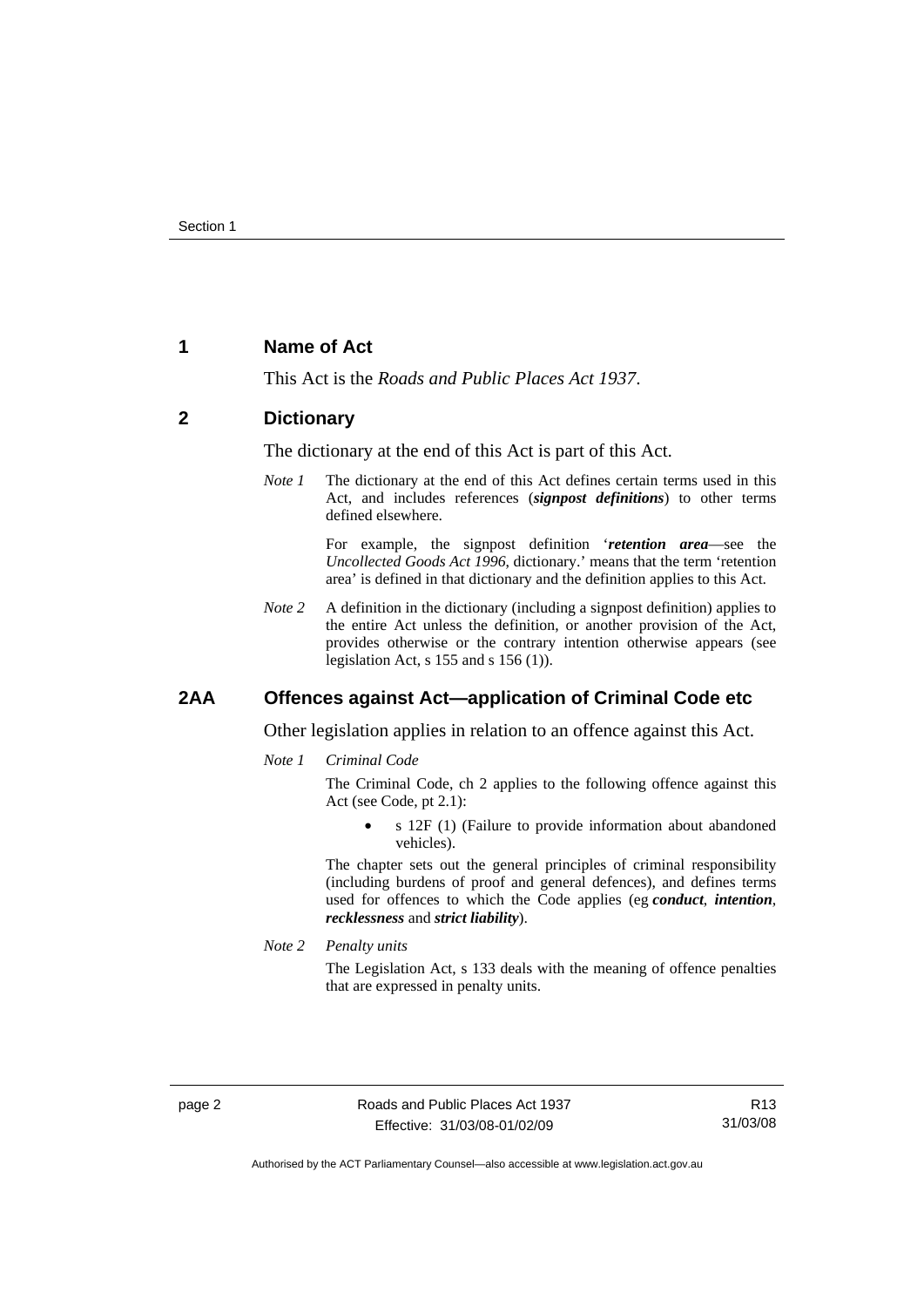## <span id="page-7-0"></span>**1 Name of Act**

This Act is the *Roads and Public Places Act 1937*.

#### **2 Dictionary**

The dictionary at the end of this Act is part of this Act.

*Note 1* The dictionary at the end of this Act defines certain terms used in this Act, and includes references (*signpost definitions*) to other terms defined elsewhere.

> For example, the signpost definition '*retention area*—see the *Uncollected Goods Act 1996*, dictionary.' means that the term 'retention area' is defined in that dictionary and the definition applies to this Act.

*Note 2* A definition in the dictionary (including a signpost definition) applies to the entire Act unless the definition, or another provision of the Act, provides otherwise or the contrary intention otherwise appears (see legislation Act, s 155 and s 156 (1)).

#### **2AA Offences against Act—application of Criminal Code etc**

Other legislation applies in relation to an offence against this Act.

*Note 1 Criminal Code*

The Criminal Code, ch 2 applies to the following offence against this Act (see Code, pt 2.1):

• s 12F (1) (Failure to provide information about abandoned vehicles).

The chapter sets out the general principles of criminal responsibility (including burdens of proof and general defences), and defines terms used for offences to which the Code applies (eg *conduct*, *intention*, *recklessness* and *strict liability*).

*Note 2 Penalty units* 

The Legislation Act, s 133 deals with the meaning of offence penalties that are expressed in penalty units.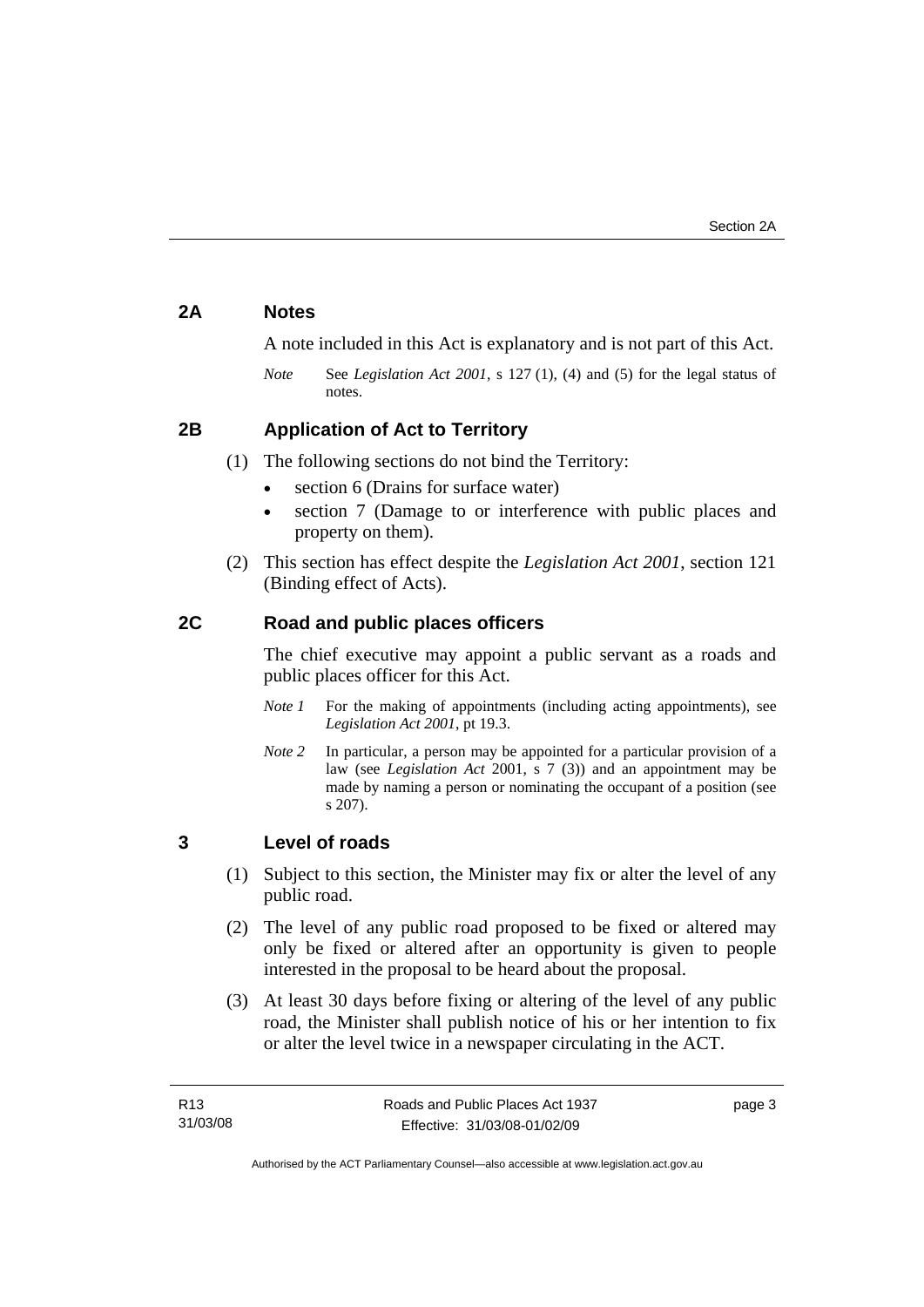## <span id="page-8-0"></span>**2A Notes**

A note included in this Act is explanatory and is not part of this Act.

*Note* See *Legislation Act 2001*, s 127 (1), (4) and (5) for the legal status of notes.

## **2B Application of Act to Territory**

- (1) The following sections do not bind the Territory:
	- section 6 (Drains for surface water)
	- section 7 (Damage to or interference with public places and property on them).
- (2) This section has effect despite the *Legislation Act 2001*, section 121 (Binding effect of Acts).

## **2C Road and public places officers**

The chief executive may appoint a public servant as a roads and public places officer for this Act.

- *Note 1* For the making of appointments (including acting appointments), see *Legislation Act 2001*, pt 19.3.
- *Note 2* In particular, a person may be appointed for a particular provision of a law (see *Legislation Act* 2001, s 7 (3)) and an appointment may be made by naming a person or nominating the occupant of a position (see s 207).

## **3 Level of roads**

- (1) Subject to this section, the Minister may fix or alter the level of any public road.
- (2) The level of any public road proposed to be fixed or altered may only be fixed or altered after an opportunity is given to people interested in the proposal to be heard about the proposal.
- (3) At least 30 days before fixing or altering of the level of any public road, the Minister shall publish notice of his or her intention to fix or alter the level twice in a newspaper circulating in the ACT.

page 3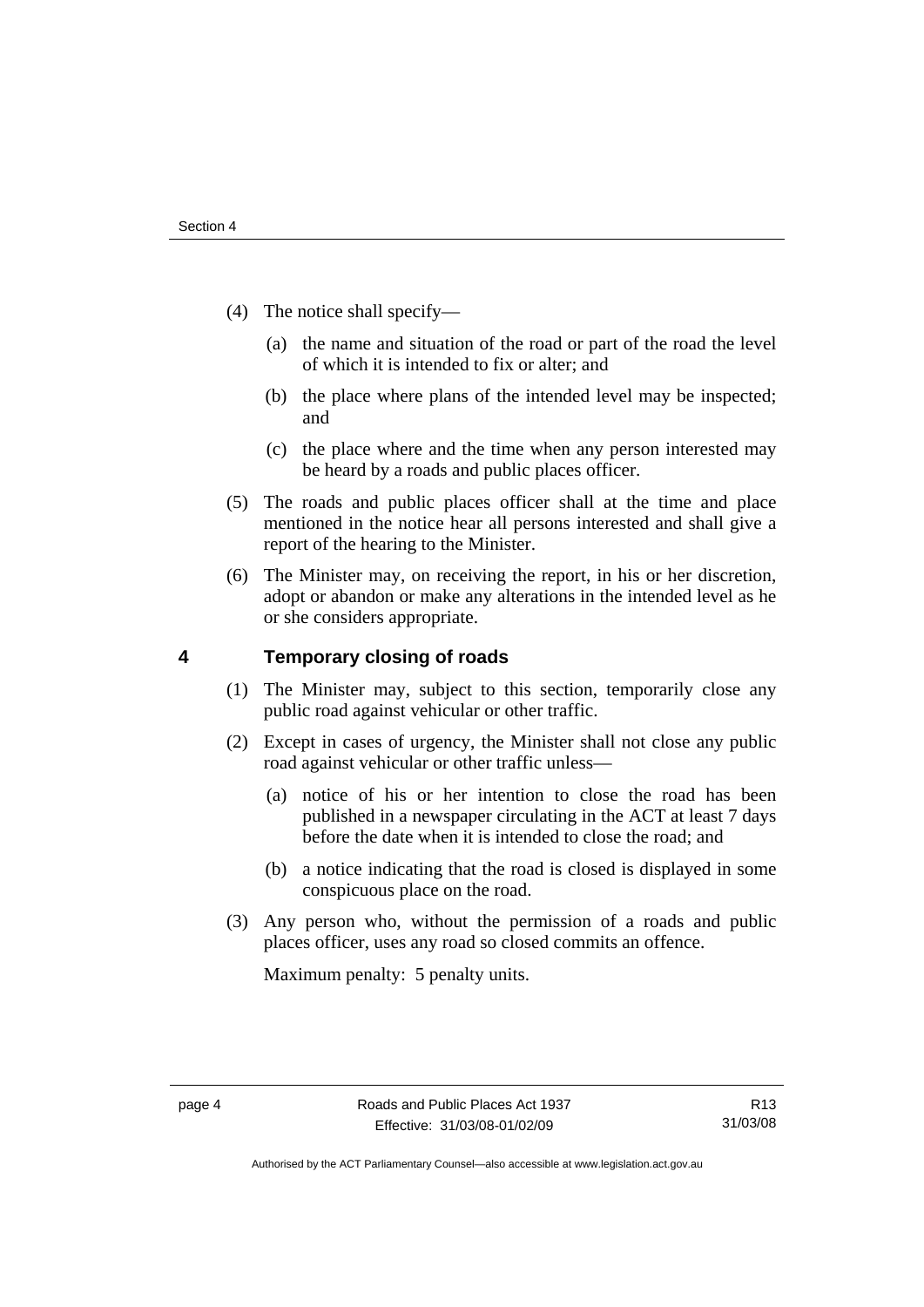- <span id="page-9-0"></span> (4) The notice shall specify—
	- (a) the name and situation of the road or part of the road the level of which it is intended to fix or alter; and
	- (b) the place where plans of the intended level may be inspected; and
	- (c) the place where and the time when any person interested may be heard by a roads and public places officer.
- (5) The roads and public places officer shall at the time and place mentioned in the notice hear all persons interested and shall give a report of the hearing to the Minister.
- (6) The Minister may, on receiving the report, in his or her discretion, adopt or abandon or make any alterations in the intended level as he or she considers appropriate.

## **4 Temporary closing of roads**

- (1) The Minister may, subject to this section, temporarily close any public road against vehicular or other traffic.
- (2) Except in cases of urgency, the Minister shall not close any public road against vehicular or other traffic unless—
	- (a) notice of his or her intention to close the road has been published in a newspaper circulating in the ACT at least 7 days before the date when it is intended to close the road; and
	- (b) a notice indicating that the road is closed is displayed in some conspicuous place on the road.
- (3) Any person who, without the permission of a roads and public places officer, uses any road so closed commits an offence.

Maximum penalty: 5 penalty units.

Authorised by the ACT Parliamentary Counsel—also accessible at www.legislation.act.gov.au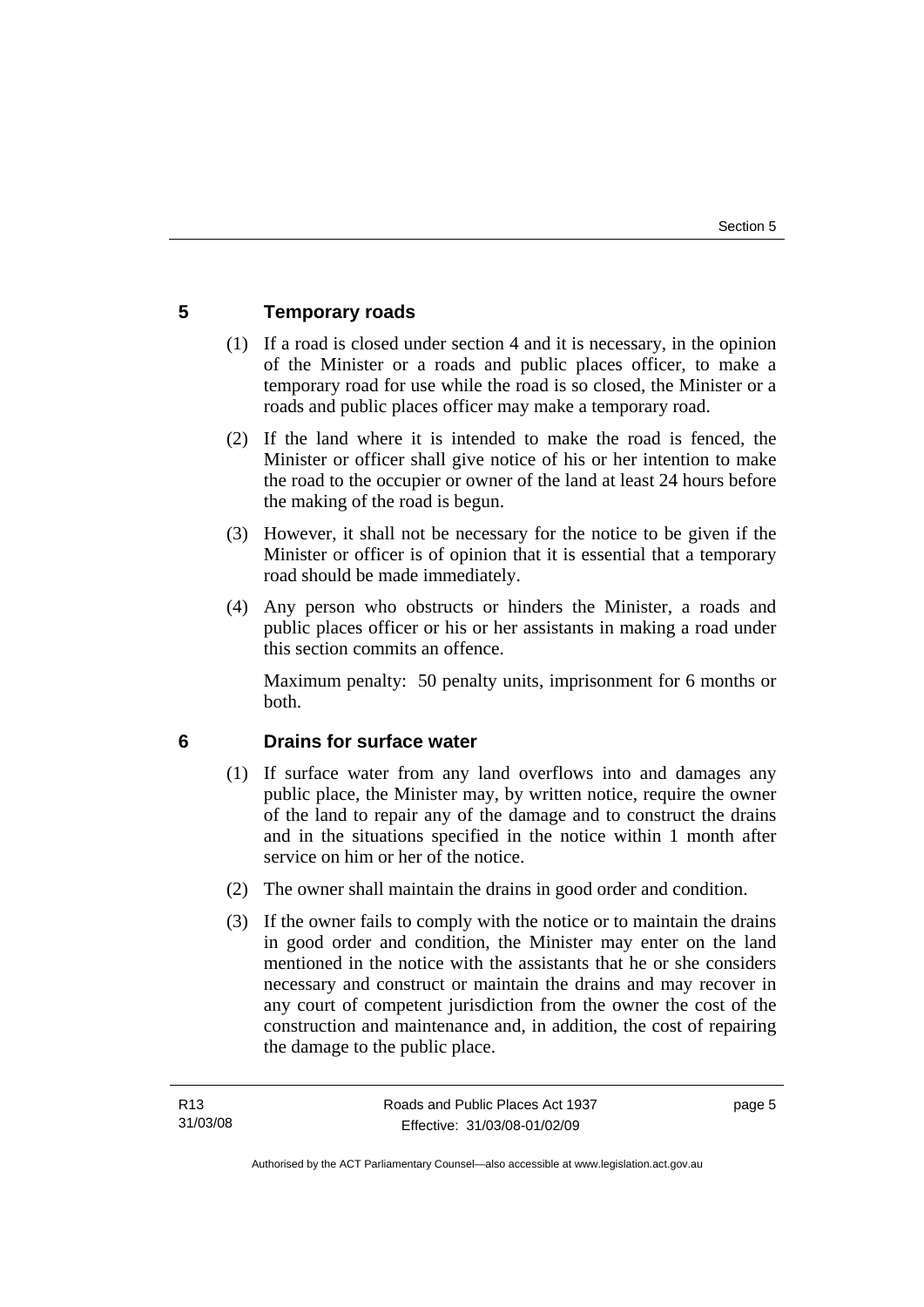## <span id="page-10-0"></span>**5 Temporary roads**

- (1) If a road is closed under section 4 and it is necessary, in the opinion of the Minister or a roads and public places officer, to make a temporary road for use while the road is so closed, the Minister or a roads and public places officer may make a temporary road.
- (2) If the land where it is intended to make the road is fenced, the Minister or officer shall give notice of his or her intention to make the road to the occupier or owner of the land at least 24 hours before the making of the road is begun.
- (3) However, it shall not be necessary for the notice to be given if the Minister or officer is of opinion that it is essential that a temporary road should be made immediately.
- (4) Any person who obstructs or hinders the Minister, a roads and public places officer or his or her assistants in making a road under this section commits an offence.

Maximum penalty: 50 penalty units, imprisonment for 6 months or both.

## **6 Drains for surface water**

- (1) If surface water from any land overflows into and damages any public place, the Minister may, by written notice, require the owner of the land to repair any of the damage and to construct the drains and in the situations specified in the notice within 1 month after service on him or her of the notice.
- (2) The owner shall maintain the drains in good order and condition.
- (3) If the owner fails to comply with the notice or to maintain the drains in good order and condition, the Minister may enter on the land mentioned in the notice with the assistants that he or she considers necessary and construct or maintain the drains and may recover in any court of competent jurisdiction from the owner the cost of the construction and maintenance and, in addition, the cost of repairing the damage to the public place.

page 5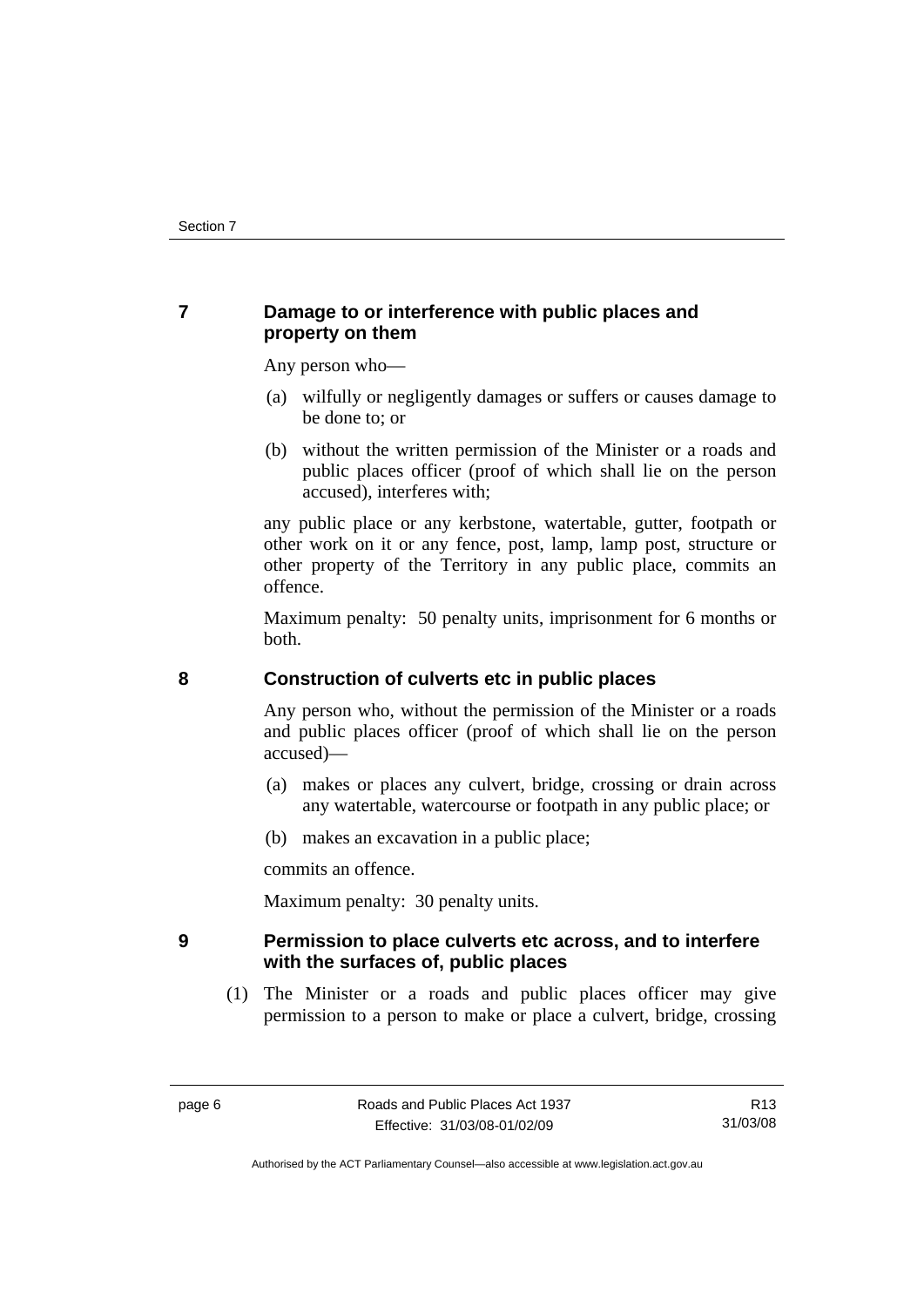## <span id="page-11-0"></span>**7 Damage to or interference with public places and property on them**

Any person who—

- (a) wilfully or negligently damages or suffers or causes damage to be done to; or
- (b) without the written permission of the Minister or a roads and public places officer (proof of which shall lie on the person accused), interferes with;

any public place or any kerbstone, watertable, gutter, footpath or other work on it or any fence, post, lamp, lamp post, structure or other property of the Territory in any public place, commits an offence.

Maximum penalty: 50 penalty units, imprisonment for 6 months or both.

## **8 Construction of culverts etc in public places**

Any person who, without the permission of the Minister or a roads and public places officer (proof of which shall lie on the person accused)—

- (a) makes or places any culvert, bridge, crossing or drain across any watertable, watercourse or footpath in any public place; or
- (b) makes an excavation in a public place;

commits an offence.

Maximum penalty: 30 penalty units.

## **9 Permission to place culverts etc across, and to interfere with the surfaces of, public places**

 (1) The Minister or a roads and public places officer may give permission to a person to make or place a culvert, bridge, crossing

Authorised by the ACT Parliamentary Counsel—also accessible at www.legislation.act.gov.au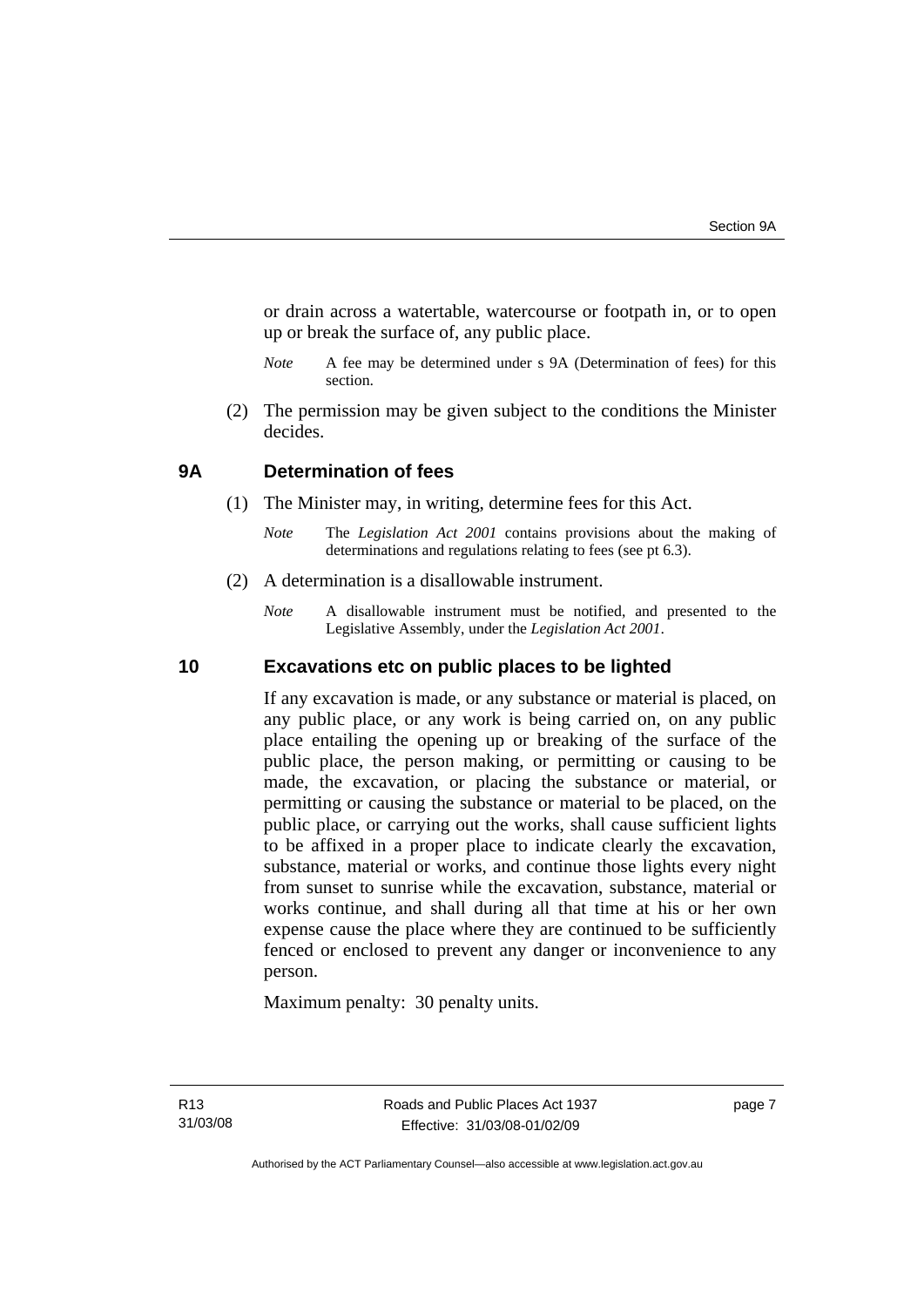<span id="page-12-0"></span>or drain across a watertable, watercourse or footpath in, or to open up or break the surface of, any public place.

- *Note* A fee may be determined under s 9A (Determination of fees) for this section.
- (2) The permission may be given subject to the conditions the Minister decides.

#### **9A Determination of fees**

- (1) The Minister may, in writing, determine fees for this Act.
	- *Note* The *Legislation Act 2001* contains provisions about the making of determinations and regulations relating to fees (see pt 6.3).
- (2) A determination is a disallowable instrument.
	- *Note* A disallowable instrument must be notified, and presented to the Legislative Assembly, under the *Legislation Act 2001*.

#### **10 Excavations etc on public places to be lighted**

If any excavation is made, or any substance or material is placed, on any public place, or any work is being carried on, on any public place entailing the opening up or breaking of the surface of the public place, the person making, or permitting or causing to be made, the excavation, or placing the substance or material, or permitting or causing the substance or material to be placed, on the public place, or carrying out the works, shall cause sufficient lights to be affixed in a proper place to indicate clearly the excavation, substance, material or works, and continue those lights every night from sunset to sunrise while the excavation, substance, material or works continue, and shall during all that time at his or her own expense cause the place where they are continued to be sufficiently fenced or enclosed to prevent any danger or inconvenience to any person.

Maximum penalty: 30 penalty units.

page 7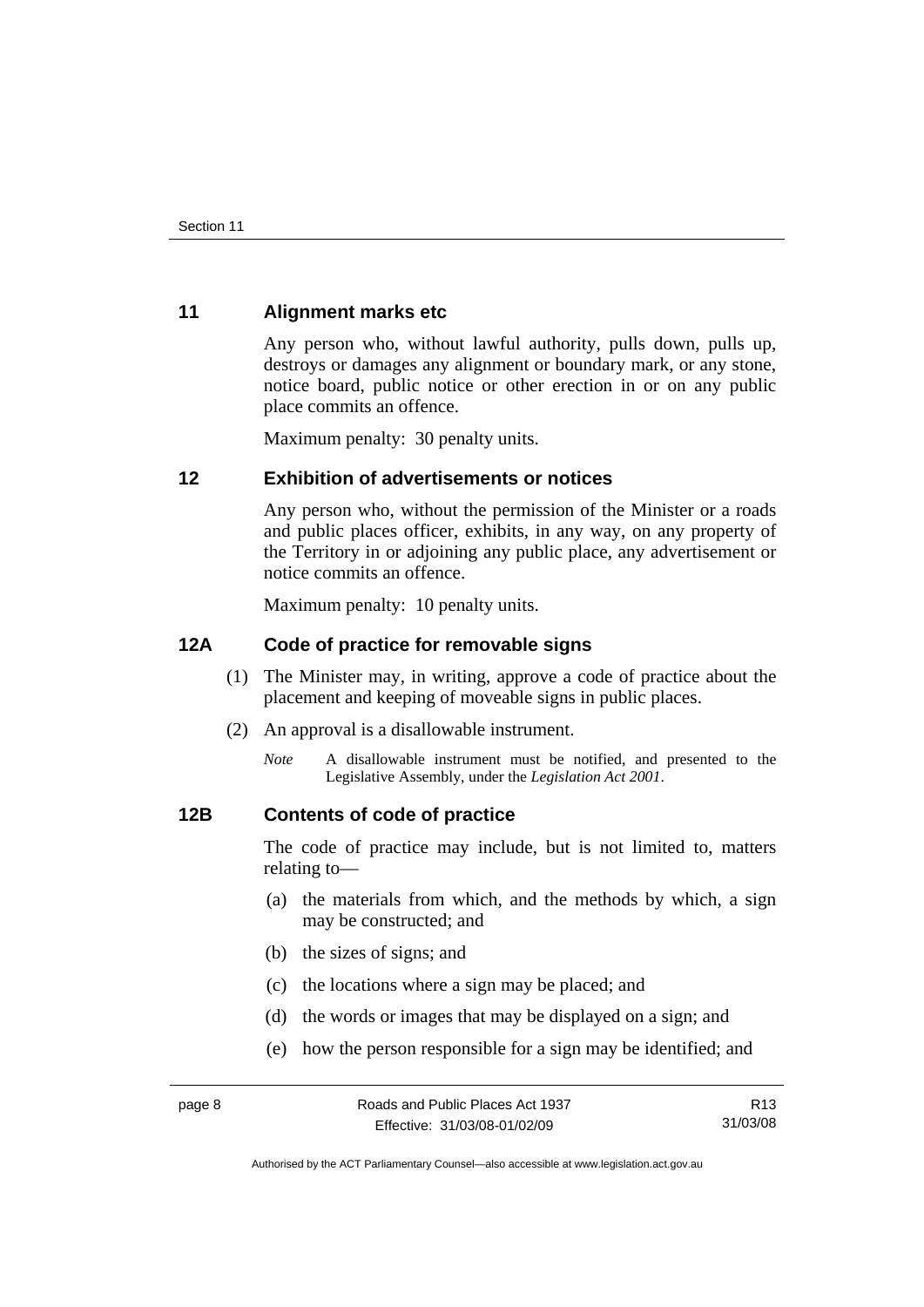## <span id="page-13-0"></span>**11 Alignment marks etc**

Any person who, without lawful authority, pulls down, pulls up, destroys or damages any alignment or boundary mark, or any stone, notice board, public notice or other erection in or on any public place commits an offence.

Maximum penalty: 30 penalty units.

#### **12 Exhibition of advertisements or notices**

Any person who, without the permission of the Minister or a roads and public places officer, exhibits, in any way, on any property of the Territory in or adjoining any public place, any advertisement or notice commits an offence.

Maximum penalty: 10 penalty units.

#### **12A Code of practice for removable signs**

- (1) The Minister may, in writing, approve a code of practice about the placement and keeping of moveable signs in public places.
- (2) An approval is a disallowable instrument.
	- *Note* A disallowable instrument must be notified, and presented to the Legislative Assembly, under the *Legislation Act 2001*.

#### **12B Contents of code of practice**

The code of practice may include, but is not limited to, matters relating to—

- (a) the materials from which, and the methods by which, a sign may be constructed; and
- (b) the sizes of signs; and
- (c) the locations where a sign may be placed; and
- (d) the words or images that may be displayed on a sign; and
- (e) how the person responsible for a sign may be identified; and

R13 31/03/08

Authorised by the ACT Parliamentary Counsel—also accessible at www.legislation.act.gov.au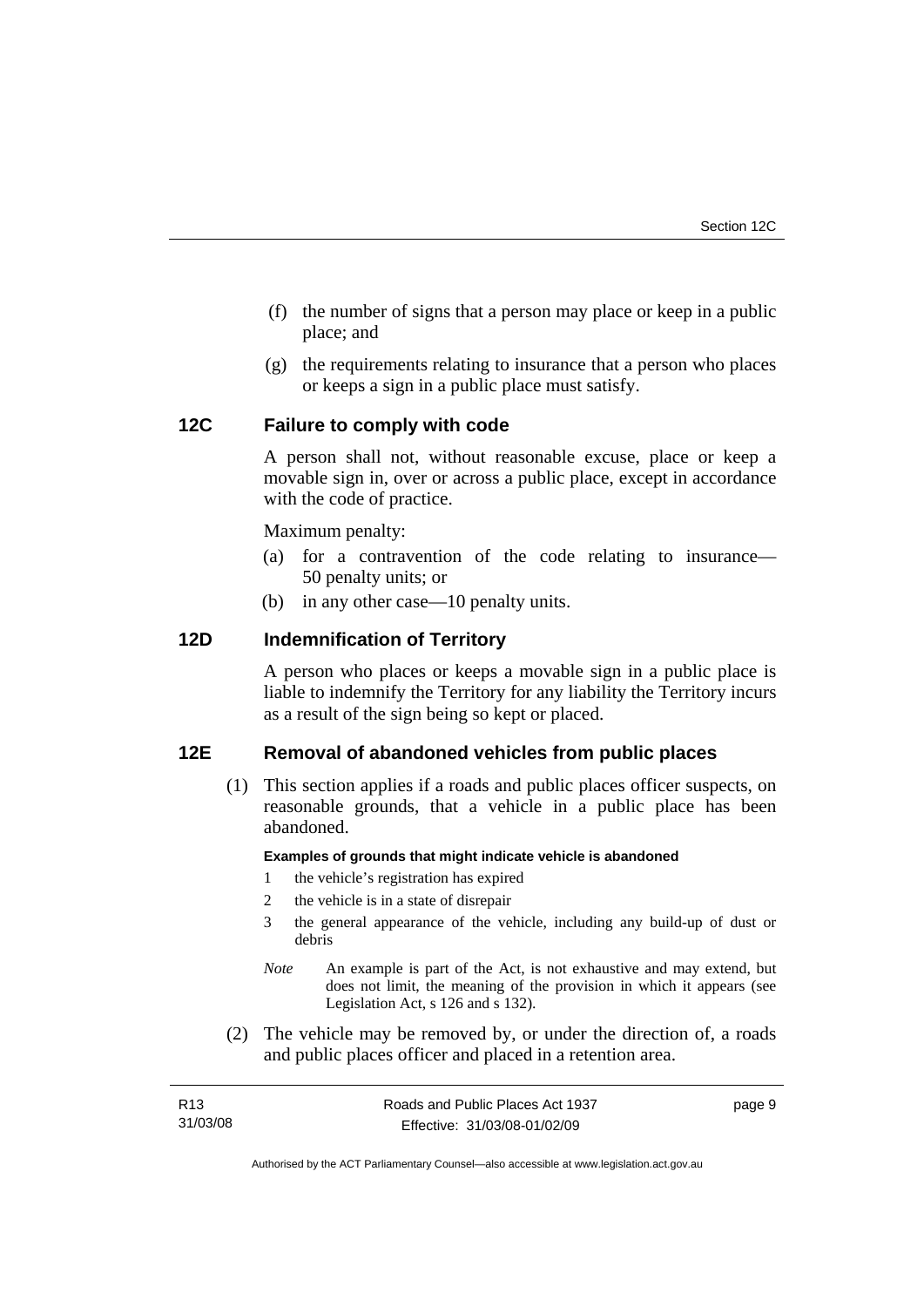- <span id="page-14-0"></span> (f) the number of signs that a person may place or keep in a public place; and
- (g) the requirements relating to insurance that a person who places or keeps a sign in a public place must satisfy.

## **12C Failure to comply with code**

A person shall not, without reasonable excuse, place or keep a movable sign in, over or across a public place, except in accordance with the code of practice.

Maximum penalty:

- (a) for a contravention of the code relating to insurance— 50 penalty units; or
- (b) in any other case—10 penalty units.

## **12D Indemnification of Territory**

A person who places or keeps a movable sign in a public place is liable to indemnify the Territory for any liability the Territory incurs as a result of the sign being so kept or placed.

## **12E Removal of abandoned vehicles from public places**

 (1) This section applies if a roads and public places officer suspects, on reasonable grounds, that a vehicle in a public place has been abandoned.

#### **Examples of grounds that might indicate vehicle is abandoned**

- 1 the vehicle's registration has expired
- 2 the vehicle is in a state of disrepair
- 3 the general appearance of the vehicle, including any build-up of dust or debris
- *Note* An example is part of the Act, is not exhaustive and may extend, but does not limit, the meaning of the provision in which it appears (see Legislation Act, s 126 and s 132).
- (2) The vehicle may be removed by, or under the direction of, a roads and public places officer and placed in a retention area.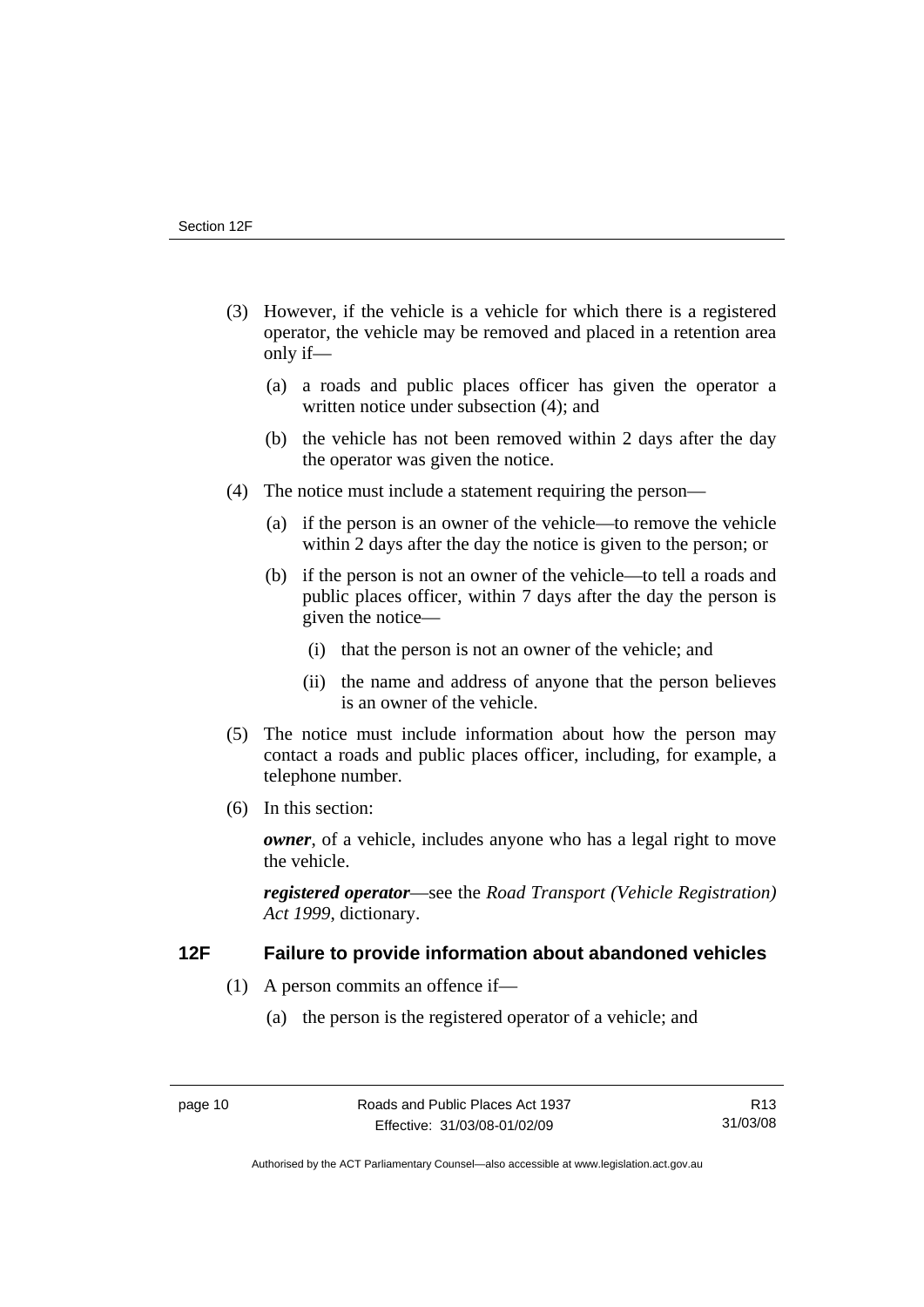- <span id="page-15-0"></span> (3) However, if the vehicle is a vehicle for which there is a registered operator, the vehicle may be removed and placed in a retention area only if—
	- (a) a roads and public places officer has given the operator a written notice under subsection (4); and
	- (b) the vehicle has not been removed within 2 days after the day the operator was given the notice.
- (4) The notice must include a statement requiring the person—
	- (a) if the person is an owner of the vehicle—to remove the vehicle within 2 days after the day the notice is given to the person; or
	- (b) if the person is not an owner of the vehicle—to tell a roads and public places officer, within 7 days after the day the person is given the notice—
		- (i) that the person is not an owner of the vehicle; and
		- (ii) the name and address of anyone that the person believes is an owner of the vehicle.
- (5) The notice must include information about how the person may contact a roads and public places officer, including, for example, a telephone number.
- (6) In this section:

*owner*, of a vehicle, includes anyone who has a legal right to move the vehicle.

*registered operator*—see the *Road Transport (Vehicle Registration) Act 1999*, dictionary.

## **12F Failure to provide information about abandoned vehicles**

- (1) A person commits an offence if—
	- (a) the person is the registered operator of a vehicle; and

Authorised by the ACT Parliamentary Counsel—also accessible at www.legislation.act.gov.au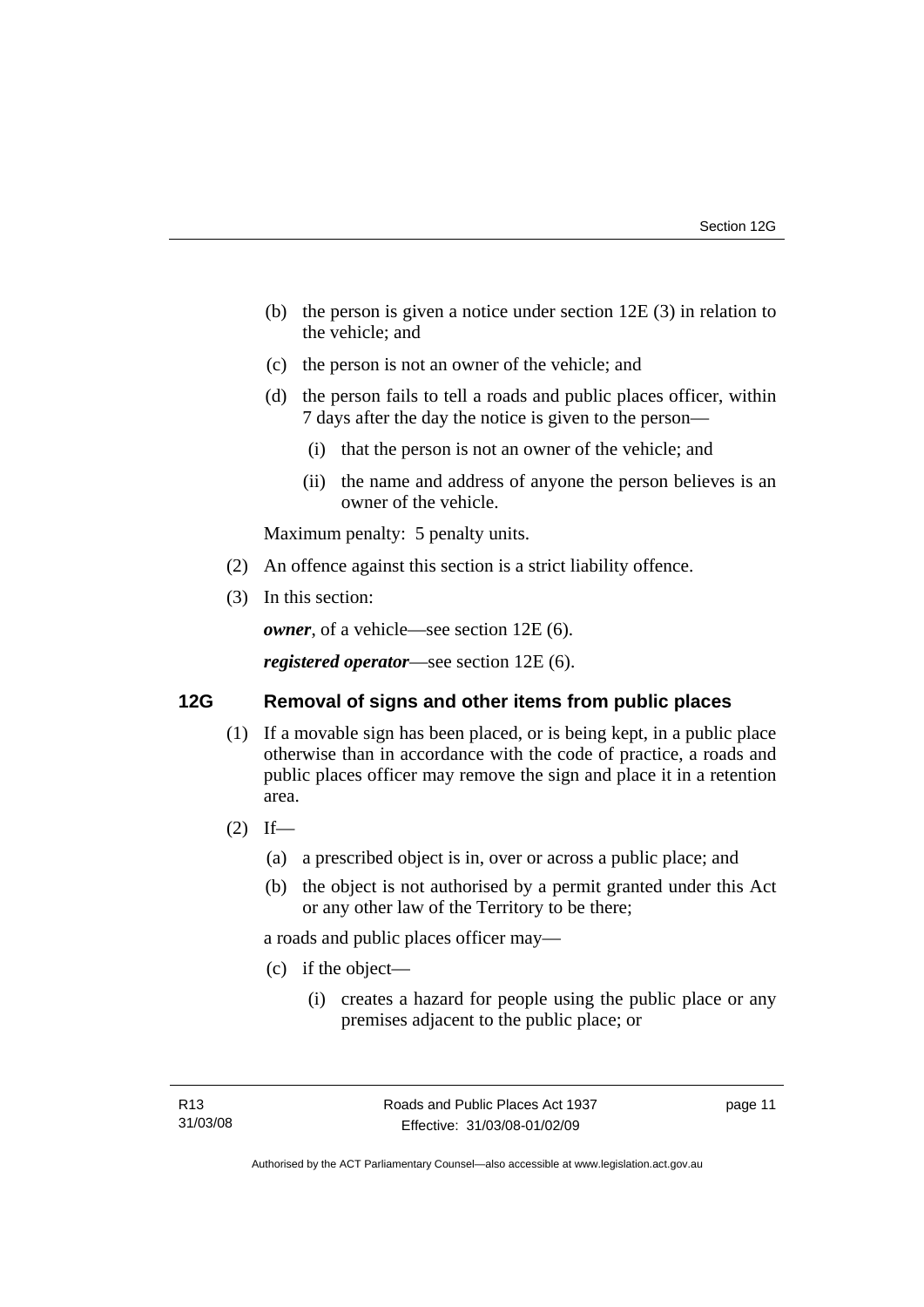- <span id="page-16-0"></span> (b) the person is given a notice under section 12E (3) in relation to the vehicle; and
- (c) the person is not an owner of the vehicle; and
- (d) the person fails to tell a roads and public places officer, within 7 days after the day the notice is given to the person—
	- (i) that the person is not an owner of the vehicle; and
	- (ii) the name and address of anyone the person believes is an owner of the vehicle.

Maximum penalty: 5 penalty units.

- (2) An offence against this section is a strict liability offence.
- (3) In this section:

*owner*, of a vehicle—see section 12E (6).

*registered operator*—see section 12E (6).

#### **12G Removal of signs and other items from public places**

- (1) If a movable sign has been placed, or is being kept, in a public place otherwise than in accordance with the code of practice, a roads and public places officer may remove the sign and place it in a retention area.
- $(2)$  If—
	- (a) a prescribed object is in, over or across a public place; and
	- (b) the object is not authorised by a permit granted under this Act or any other law of the Territory to be there;

a roads and public places officer may—

- (c) if the object—
	- (i) creates a hazard for people using the public place or any premises adjacent to the public place; or

page 11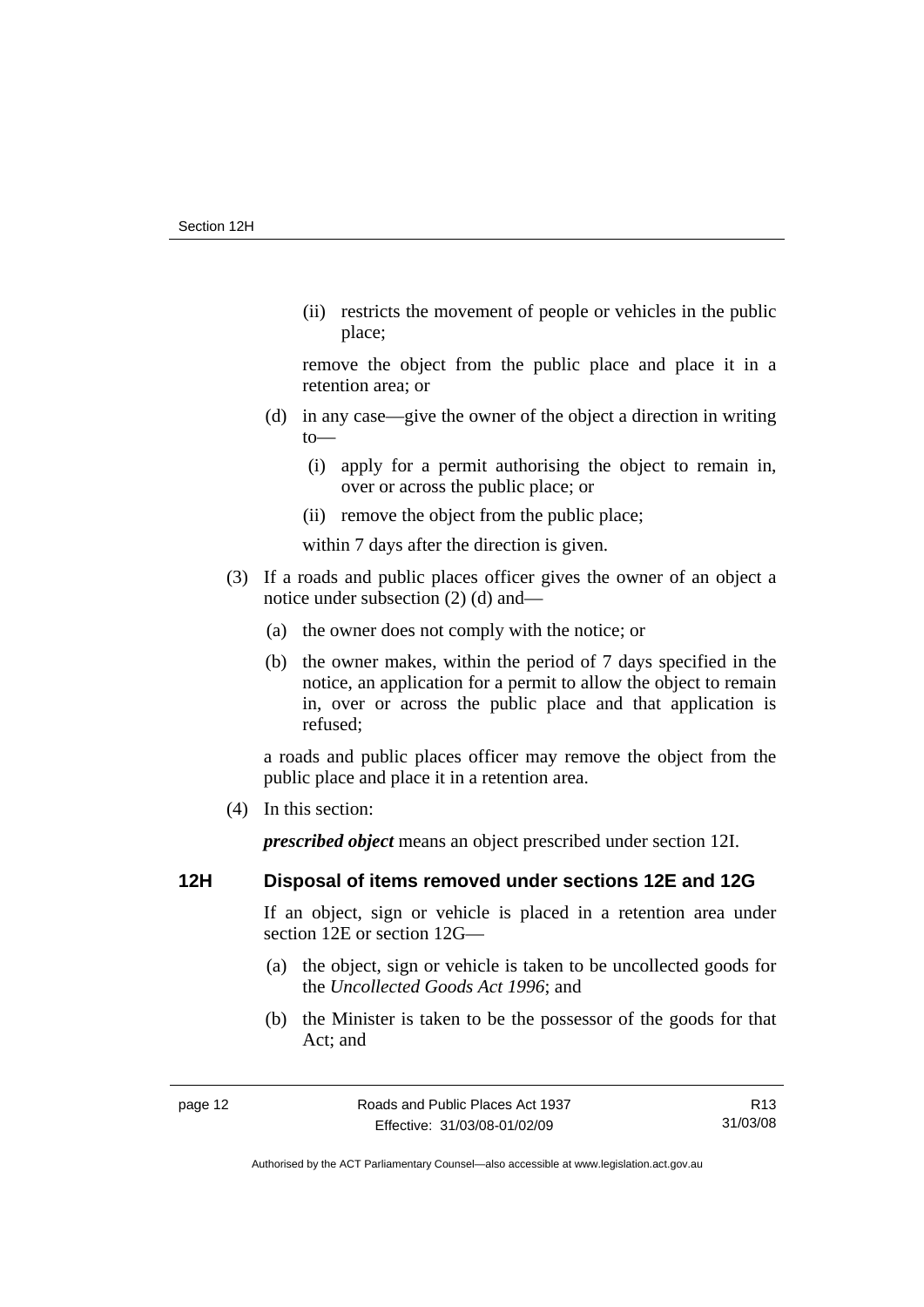<span id="page-17-0"></span> (ii) restricts the movement of people or vehicles in the public place;

remove the object from the public place and place it in a retention area; or

- (d) in any case—give the owner of the object a direction in writing to—
	- (i) apply for a permit authorising the object to remain in, over or across the public place; or
	- (ii) remove the object from the public place;

within 7 days after the direction is given.

- (3) If a roads and public places officer gives the owner of an object a notice under subsection (2) (d) and—
	- (a) the owner does not comply with the notice; or
	- (b) the owner makes, within the period of 7 days specified in the notice, an application for a permit to allow the object to remain in, over or across the public place and that application is refused;

a roads and public places officer may remove the object from the public place and place it in a retention area.

(4) In this section:

*prescribed object* means an object prescribed under section 12I.

## **12H Disposal of items removed under sections 12E and 12G**

If an object, sign or vehicle is placed in a retention area under section 12E or section 12G—

- (a) the object, sign or vehicle is taken to be uncollected goods for the *Uncollected Goods Act 1996*; and
- (b) the Minister is taken to be the possessor of the goods for that Act; and

R13 31/03/08

Authorised by the ACT Parliamentary Counsel—also accessible at www.legislation.act.gov.au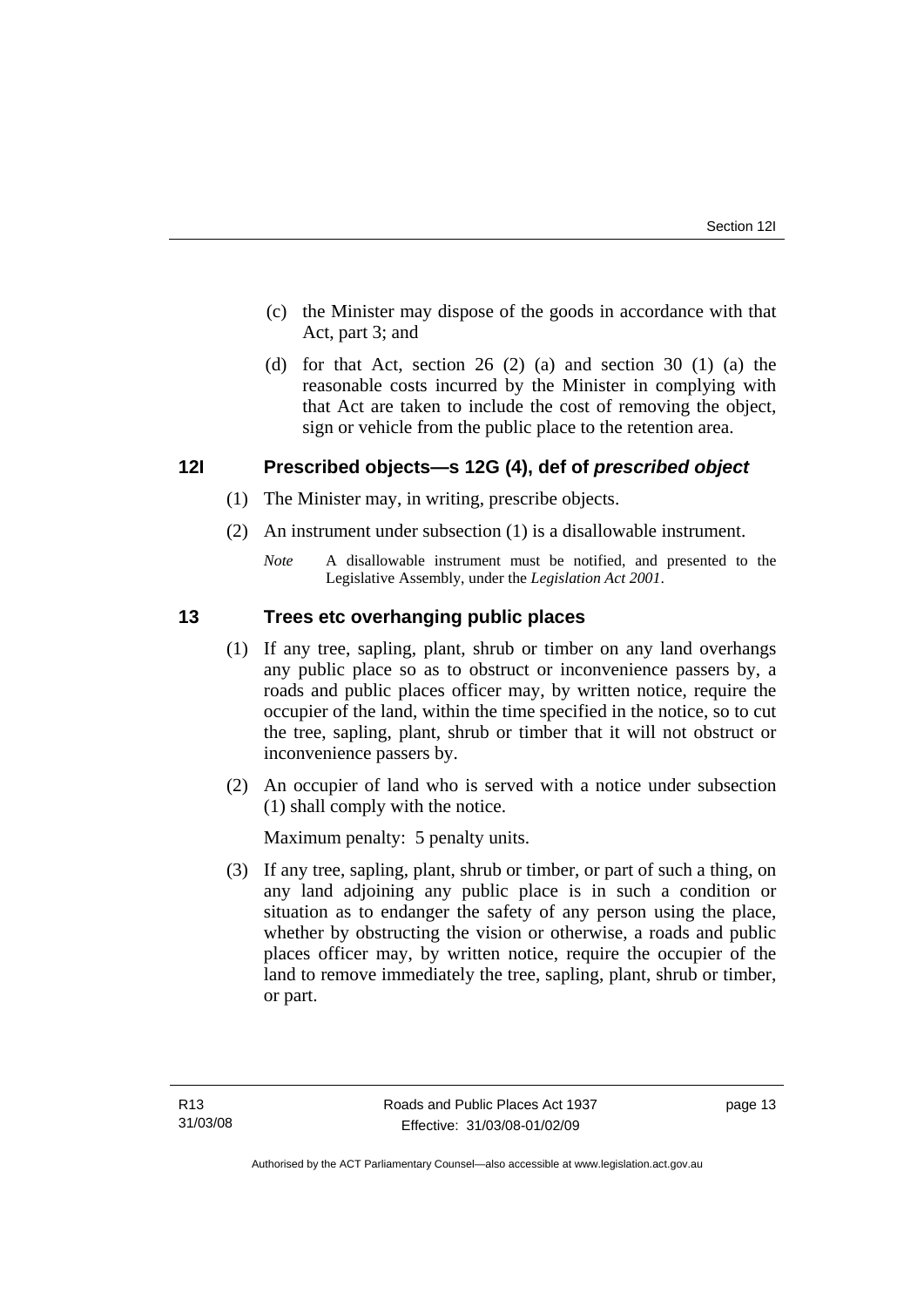- <span id="page-18-0"></span> (c) the Minister may dispose of the goods in accordance with that Act, part 3; and
- (d) for that Act, section 26 (2) (a) and section 30 (1) (a) the reasonable costs incurred by the Minister in complying with that Act are taken to include the cost of removing the object, sign or vehicle from the public place to the retention area.

## **12I Prescribed objects—s 12G (4), def of** *prescribed object*

- (1) The Minister may, in writing, prescribe objects.
- (2) An instrument under subsection (1) is a disallowable instrument.
	- *Note* A disallowable instrument must be notified, and presented to the Legislative Assembly, under the *Legislation Act 2001*.

## **13 Trees etc overhanging public places**

- (1) If any tree, sapling, plant, shrub or timber on any land overhangs any public place so as to obstruct or inconvenience passers by, a roads and public places officer may, by written notice, require the occupier of the land, within the time specified in the notice, so to cut the tree, sapling, plant, shrub or timber that it will not obstruct or inconvenience passers by.
- (2) An occupier of land who is served with a notice under subsection (1) shall comply with the notice.

Maximum penalty: 5 penalty units.

 (3) If any tree, sapling, plant, shrub or timber, or part of such a thing, on any land adjoining any public place is in such a condition or situation as to endanger the safety of any person using the place, whether by obstructing the vision or otherwise, a roads and public places officer may, by written notice, require the occupier of the land to remove immediately the tree, sapling, plant, shrub or timber, or part.

page 13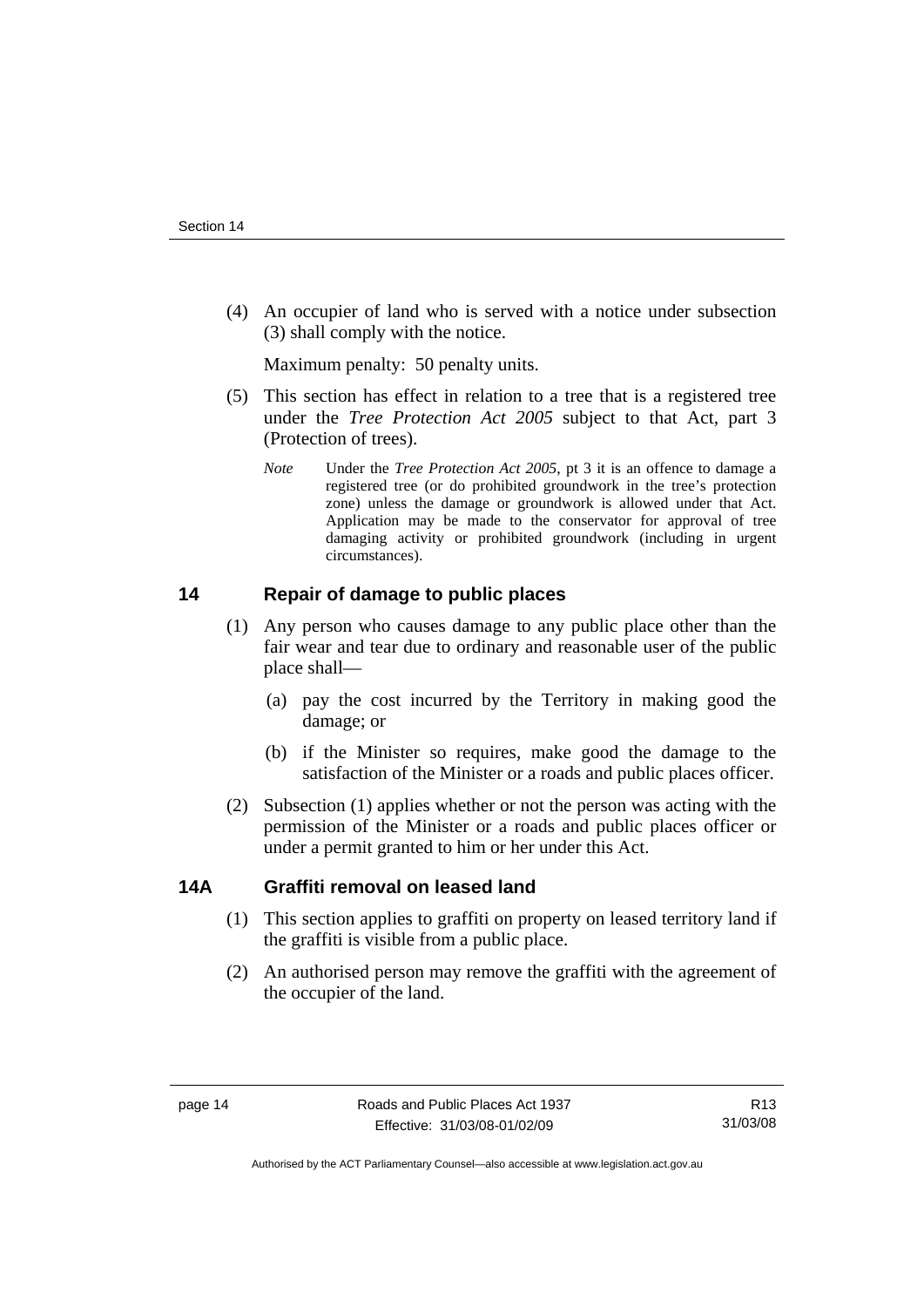<span id="page-19-0"></span> (4) An occupier of land who is served with a notice under subsection (3) shall comply with the notice.

Maximum penalty: 50 penalty units.

- (5) This section has effect in relation to a tree that is a registered tree under the *Tree Protection Act 2005* subject to that Act, part 3 (Protection of trees).
	- *Note* Under the *Tree Protection Act 2005*, pt 3 it is an offence to damage a registered tree (or do prohibited groundwork in the tree's protection zone) unless the damage or groundwork is allowed under that Act. Application may be made to the conservator for approval of tree damaging activity or prohibited groundwork (including in urgent circumstances).

## **14 Repair of damage to public places**

- (1) Any person who causes damage to any public place other than the fair wear and tear due to ordinary and reasonable user of the public place shall—
	- (a) pay the cost incurred by the Territory in making good the damage; or
	- (b) if the Minister so requires, make good the damage to the satisfaction of the Minister or a roads and public places officer.
- (2) Subsection (1) applies whether or not the person was acting with the permission of the Minister or a roads and public places officer or under a permit granted to him or her under this Act.

## **14A Graffiti removal on leased land**

- (1) This section applies to graffiti on property on leased territory land if the graffiti is visible from a public place.
- (2) An authorised person may remove the graffiti with the agreement of the occupier of the land.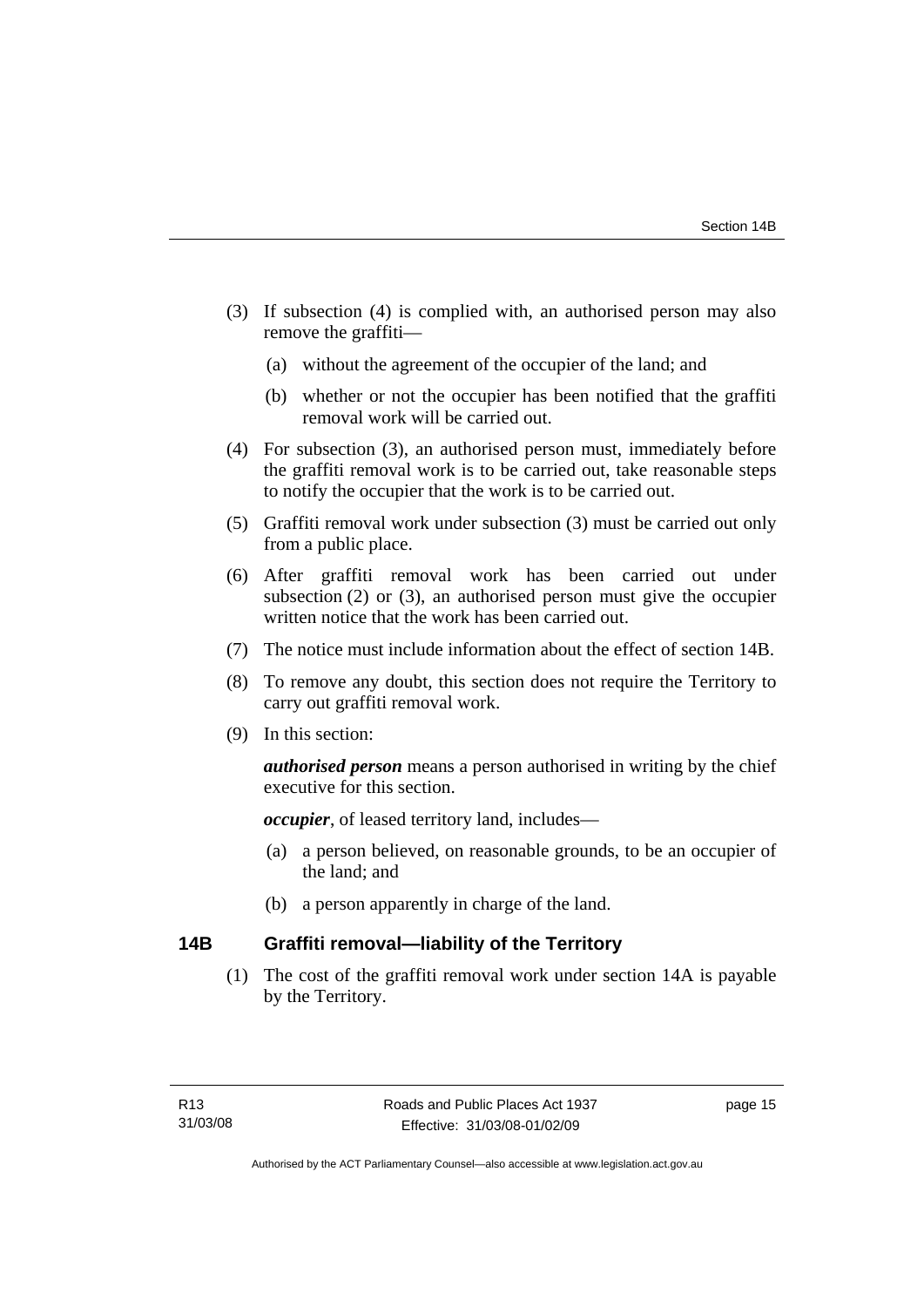- <span id="page-20-0"></span> (3) If subsection (4) is complied with, an authorised person may also remove the graffiti—
	- (a) without the agreement of the occupier of the land; and
	- (b) whether or not the occupier has been notified that the graffiti removal work will be carried out.
- (4) For subsection (3), an authorised person must, immediately before the graffiti removal work is to be carried out, take reasonable steps to notify the occupier that the work is to be carried out.
- (5) Graffiti removal work under subsection (3) must be carried out only from a public place.
- (6) After graffiti removal work has been carried out under subsection (2) or (3), an authorised person must give the occupier written notice that the work has been carried out.
- (7) The notice must include information about the effect of section 14B.
- (8) To remove any doubt, this section does not require the Territory to carry out graffiti removal work.
- (9) In this section:

*authorised person* means a person authorised in writing by the chief executive for this section.

*occupier*, of leased territory land, includes—

- (a) a person believed, on reasonable grounds, to be an occupier of the land; and
- (b) a person apparently in charge of the land.

## **14B Graffiti removal—liability of the Territory**

 (1) The cost of the graffiti removal work under section 14A is payable by the Territory.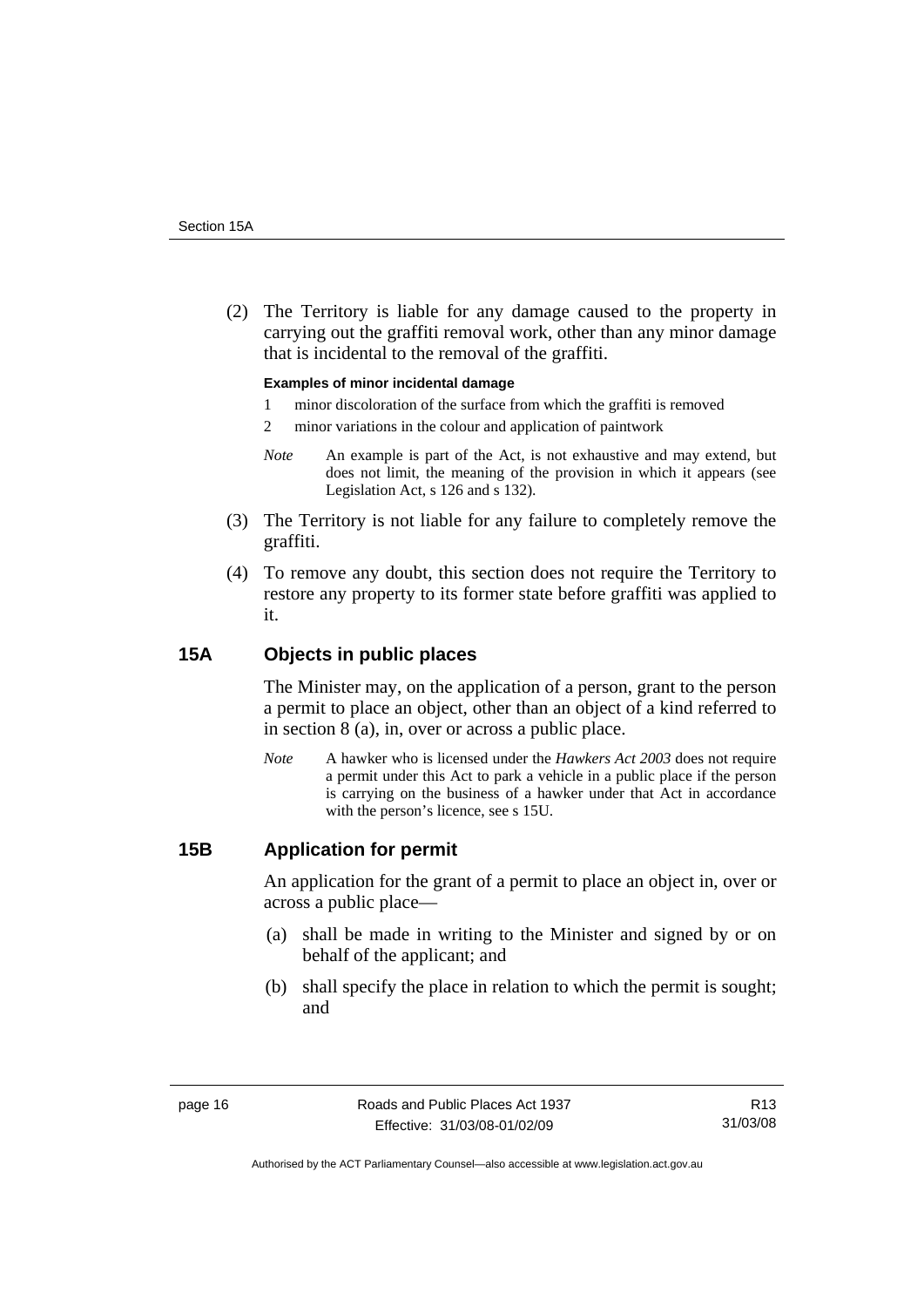<span id="page-21-0"></span> (2) The Territory is liable for any damage caused to the property in carrying out the graffiti removal work, other than any minor damage that is incidental to the removal of the graffiti.

#### **Examples of minor incidental damage**

- 1 minor discoloration of the surface from which the graffiti is removed
- 2 minor variations in the colour and application of paintwork
- *Note* An example is part of the Act, is not exhaustive and may extend, but does not limit, the meaning of the provision in which it appears (see Legislation Act, s 126 and s 132).
- (3) The Territory is not liable for any failure to completely remove the graffiti.
- (4) To remove any doubt, this section does not require the Territory to restore any property to its former state before graffiti was applied to it.

#### **15A Objects in public places**

The Minister may, on the application of a person, grant to the person a permit to place an object, other than an object of a kind referred to in section 8 (a), in, over or across a public place.

*Note* A hawker who is licensed under the *Hawkers Act 2003* does not require a permit under this Act to park a vehicle in a public place if the person is carrying on the business of a hawker under that Act in accordance with the person's licence, see s 15U.

#### **15B Application for permit**

An application for the grant of a permit to place an object in, over or across a public place—

- (a) shall be made in writing to the Minister and signed by or on behalf of the applicant; and
- (b) shall specify the place in relation to which the permit is sought; and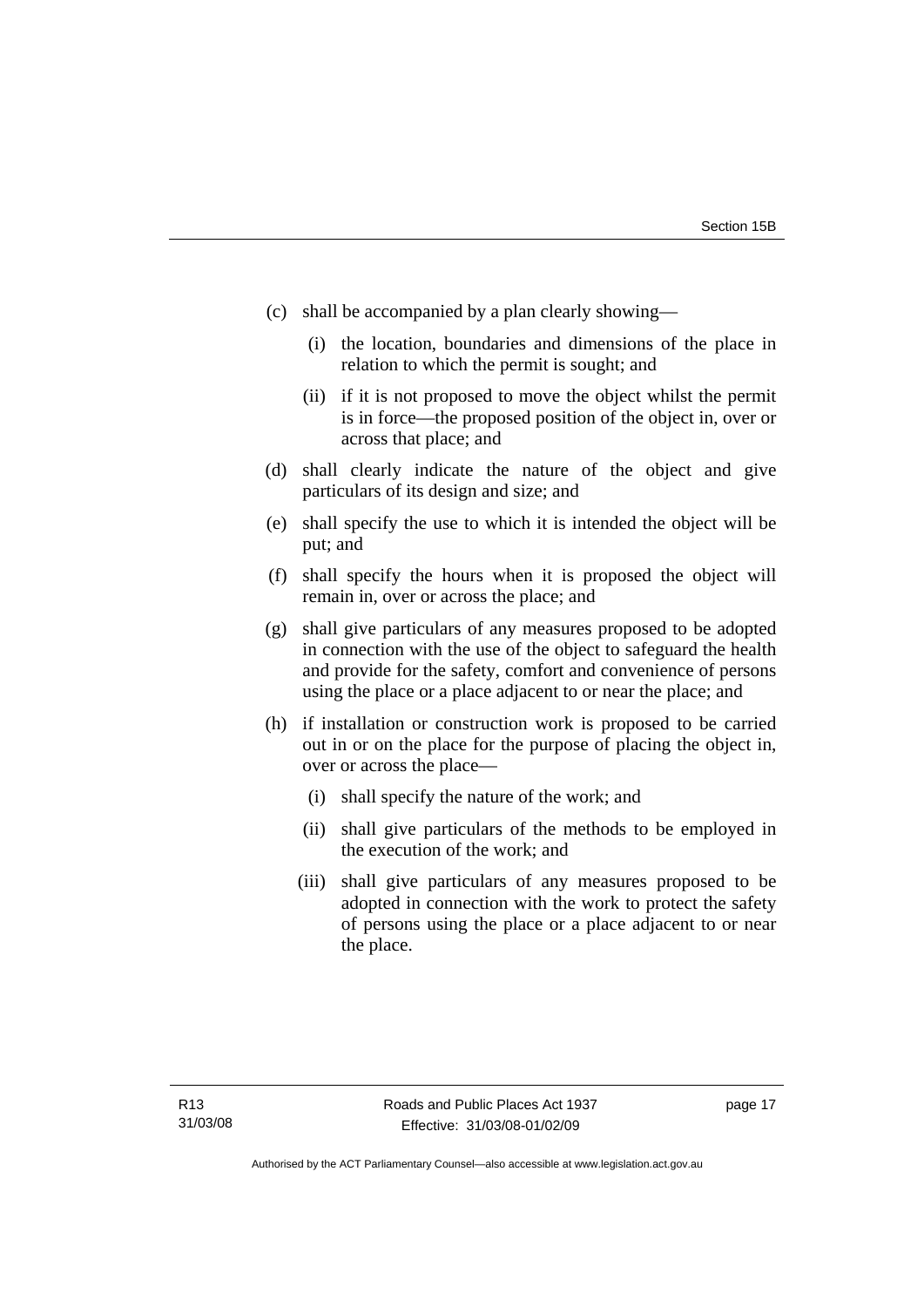- (c) shall be accompanied by a plan clearly showing—
	- (i) the location, boundaries and dimensions of the place in relation to which the permit is sought; and
	- (ii) if it is not proposed to move the object whilst the permit is in force—the proposed position of the object in, over or across that place; and
- (d) shall clearly indicate the nature of the object and give particulars of its design and size; and
- (e) shall specify the use to which it is intended the object will be put; and
- (f) shall specify the hours when it is proposed the object will remain in, over or across the place; and
- (g) shall give particulars of any measures proposed to be adopted in connection with the use of the object to safeguard the health and provide for the safety, comfort and convenience of persons using the place or a place adjacent to or near the place; and
- (h) if installation or construction work is proposed to be carried out in or on the place for the purpose of placing the object in, over or across the place—
	- (i) shall specify the nature of the work; and
	- (ii) shall give particulars of the methods to be employed in the execution of the work; and
	- (iii) shall give particulars of any measures proposed to be adopted in connection with the work to protect the safety of persons using the place or a place adjacent to or near the place.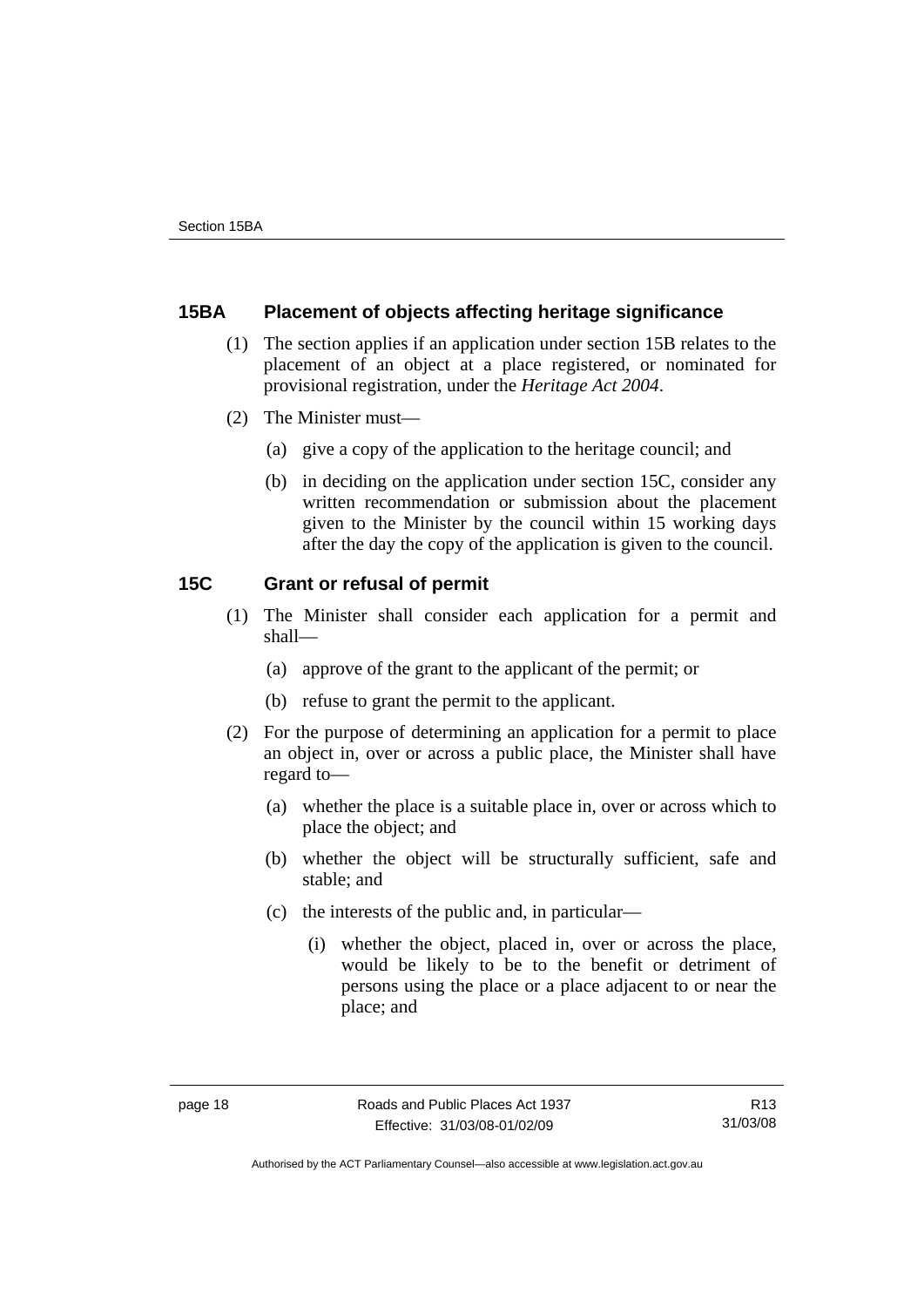## <span id="page-23-0"></span>**15BA Placement of objects affecting heritage significance**

- (1) The section applies if an application under section 15B relates to the placement of an object at a place registered, or nominated for provisional registration, under the *Heritage Act 2004*.
- (2) The Minister must—
	- (a) give a copy of the application to the heritage council; and
	- (b) in deciding on the application under section 15C, consider any written recommendation or submission about the placement given to the Minister by the council within 15 working days after the day the copy of the application is given to the council.

## **15C Grant or refusal of permit**

- (1) The Minister shall consider each application for a permit and shall—
	- (a) approve of the grant to the applicant of the permit; or
	- (b) refuse to grant the permit to the applicant.
- (2) For the purpose of determining an application for a permit to place an object in, over or across a public place, the Minister shall have regard to—
	- (a) whether the place is a suitable place in, over or across which to place the object; and
	- (b) whether the object will be structurally sufficient, safe and stable; and
	- (c) the interests of the public and, in particular—
		- (i) whether the object, placed in, over or across the place, would be likely to be to the benefit or detriment of persons using the place or a place adjacent to or near the place; and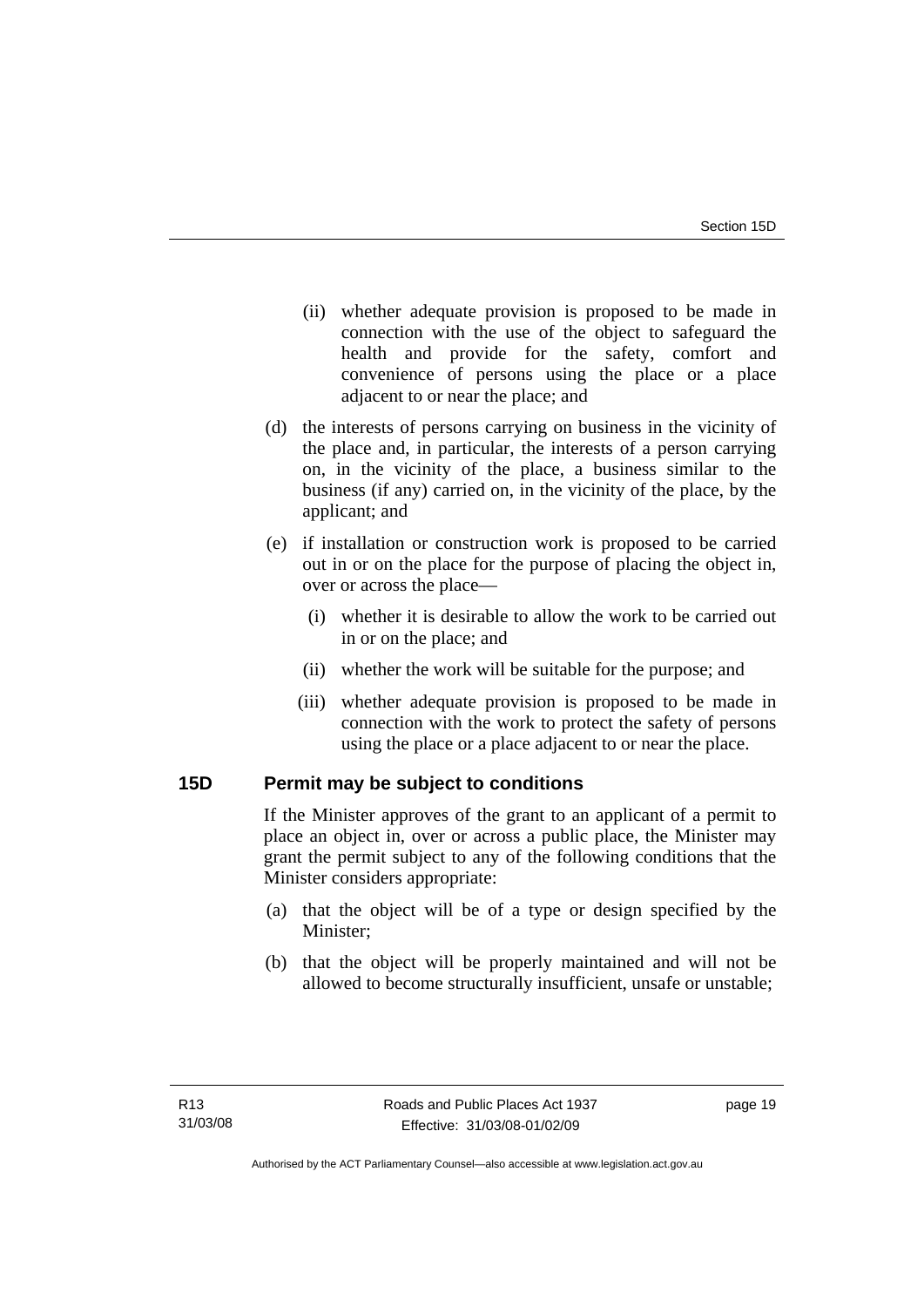- <span id="page-24-0"></span> (ii) whether adequate provision is proposed to be made in connection with the use of the object to safeguard the health and provide for the safety, comfort and convenience of persons using the place or a place adjacent to or near the place; and
- (d) the interests of persons carrying on business in the vicinity of the place and, in particular, the interests of a person carrying on, in the vicinity of the place, a business similar to the business (if any) carried on, in the vicinity of the place, by the applicant; and
- (e) if installation or construction work is proposed to be carried out in or on the place for the purpose of placing the object in, over or across the place—
	- (i) whether it is desirable to allow the work to be carried out in or on the place; and
	- (ii) whether the work will be suitable for the purpose; and
	- (iii) whether adequate provision is proposed to be made in connection with the work to protect the safety of persons using the place or a place adjacent to or near the place.

## **15D Permit may be subject to conditions**

If the Minister approves of the grant to an applicant of a permit to place an object in, over or across a public place, the Minister may grant the permit subject to any of the following conditions that the Minister considers appropriate:

- (a) that the object will be of a type or design specified by the Minister;
- (b) that the object will be properly maintained and will not be allowed to become structurally insufficient, unsafe or unstable;

page 19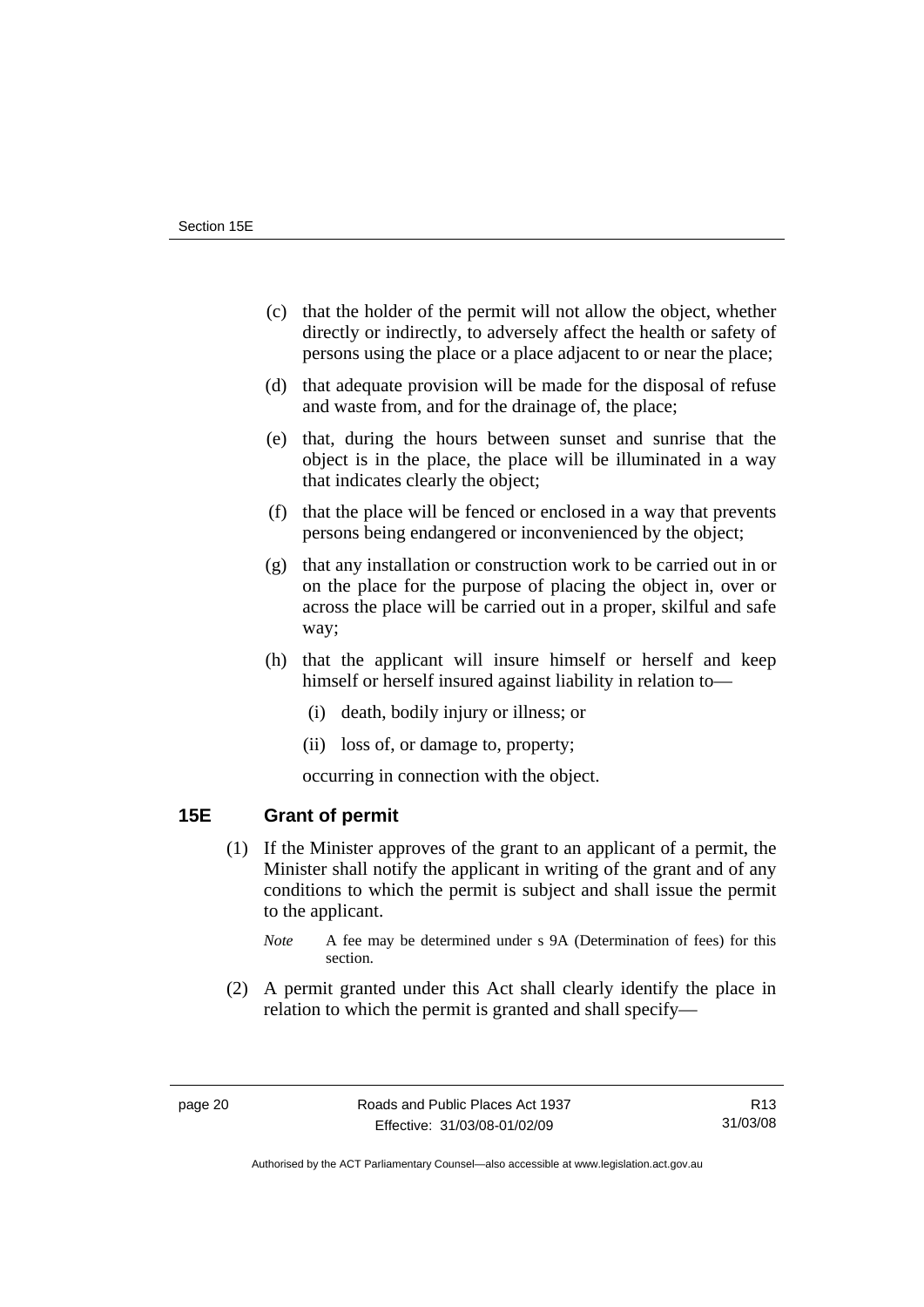- <span id="page-25-0"></span> (c) that the holder of the permit will not allow the object, whether directly or indirectly, to adversely affect the health or safety of persons using the place or a place adjacent to or near the place;
- (d) that adequate provision will be made for the disposal of refuse and waste from, and for the drainage of, the place;
- (e) that, during the hours between sunset and sunrise that the object is in the place, the place will be illuminated in a way that indicates clearly the object;
- (f) that the place will be fenced or enclosed in a way that prevents persons being endangered or inconvenienced by the object;
- (g) that any installation or construction work to be carried out in or on the place for the purpose of placing the object in, over or across the place will be carried out in a proper, skilful and safe way;
- (h) that the applicant will insure himself or herself and keep himself or herself insured against liability in relation to—
	- (i) death, bodily injury or illness; or
	- (ii) loss of, or damage to, property;

occurring in connection with the object.

## **15E Grant of permit**

- (1) If the Minister approves of the grant to an applicant of a permit, the Minister shall notify the applicant in writing of the grant and of any conditions to which the permit is subject and shall issue the permit to the applicant.
	- *Note* A fee may be determined under s 9A (Determination of fees) for this section.
- (2) A permit granted under this Act shall clearly identify the place in relation to which the permit is granted and shall specify—

Authorised by the ACT Parliamentary Counsel—also accessible at www.legislation.act.gov.au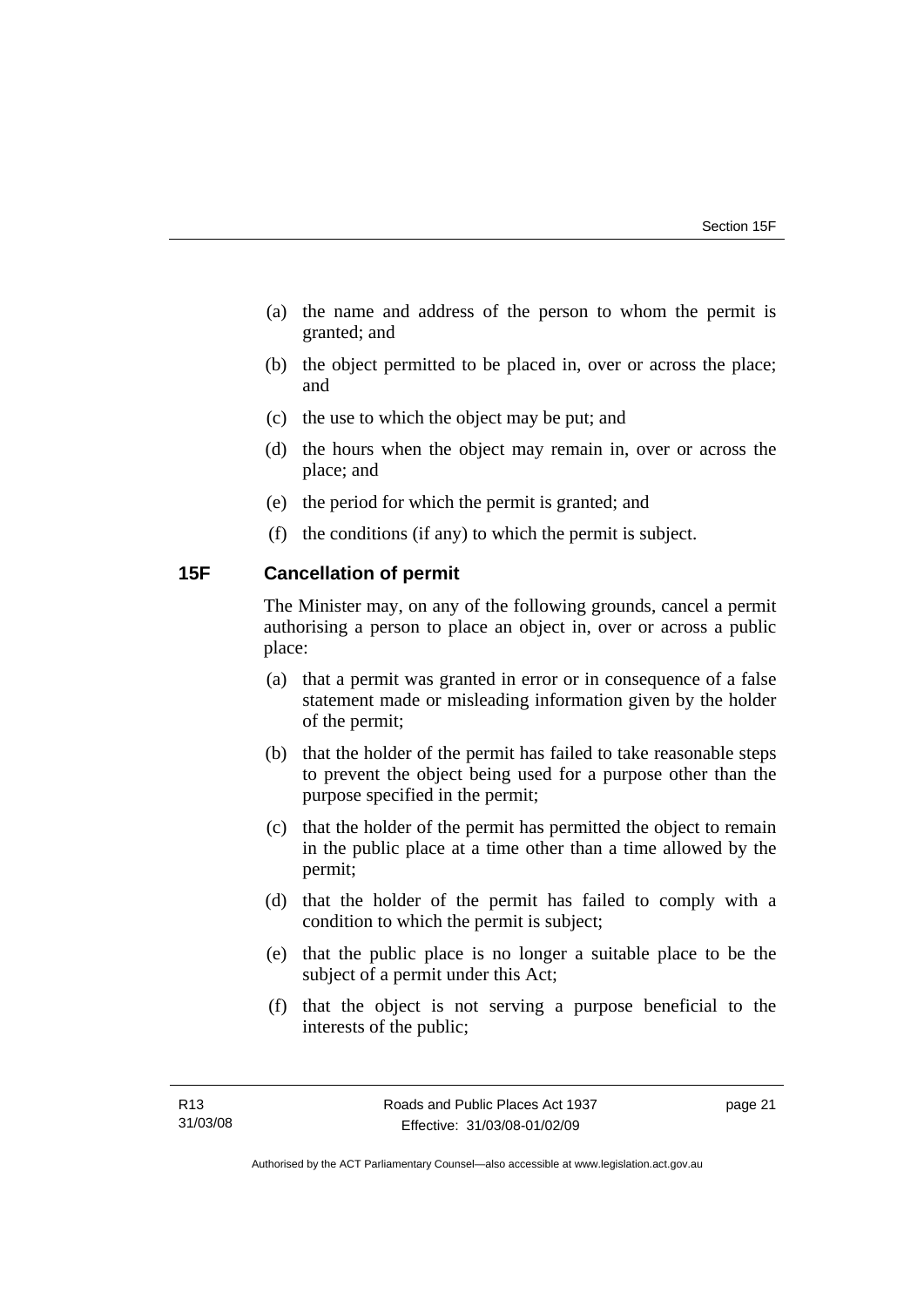- <span id="page-26-0"></span> (a) the name and address of the person to whom the permit is granted; and
- (b) the object permitted to be placed in, over or across the place; and
- (c) the use to which the object may be put; and
- (d) the hours when the object may remain in, over or across the place; and
- (e) the period for which the permit is granted; and
- (f) the conditions (if any) to which the permit is subject.

## **15F Cancellation of permit**

The Minister may, on any of the following grounds, cancel a permit authorising a person to place an object in, over or across a public place:

- (a) that a permit was granted in error or in consequence of a false statement made or misleading information given by the holder of the permit;
- (b) that the holder of the permit has failed to take reasonable steps to prevent the object being used for a purpose other than the purpose specified in the permit;
- (c) that the holder of the permit has permitted the object to remain in the public place at a time other than a time allowed by the permit;
- (d) that the holder of the permit has failed to comply with a condition to which the permit is subject;
- (e) that the public place is no longer a suitable place to be the subject of a permit under this Act;
- (f) that the object is not serving a purpose beneficial to the interests of the public;

page 21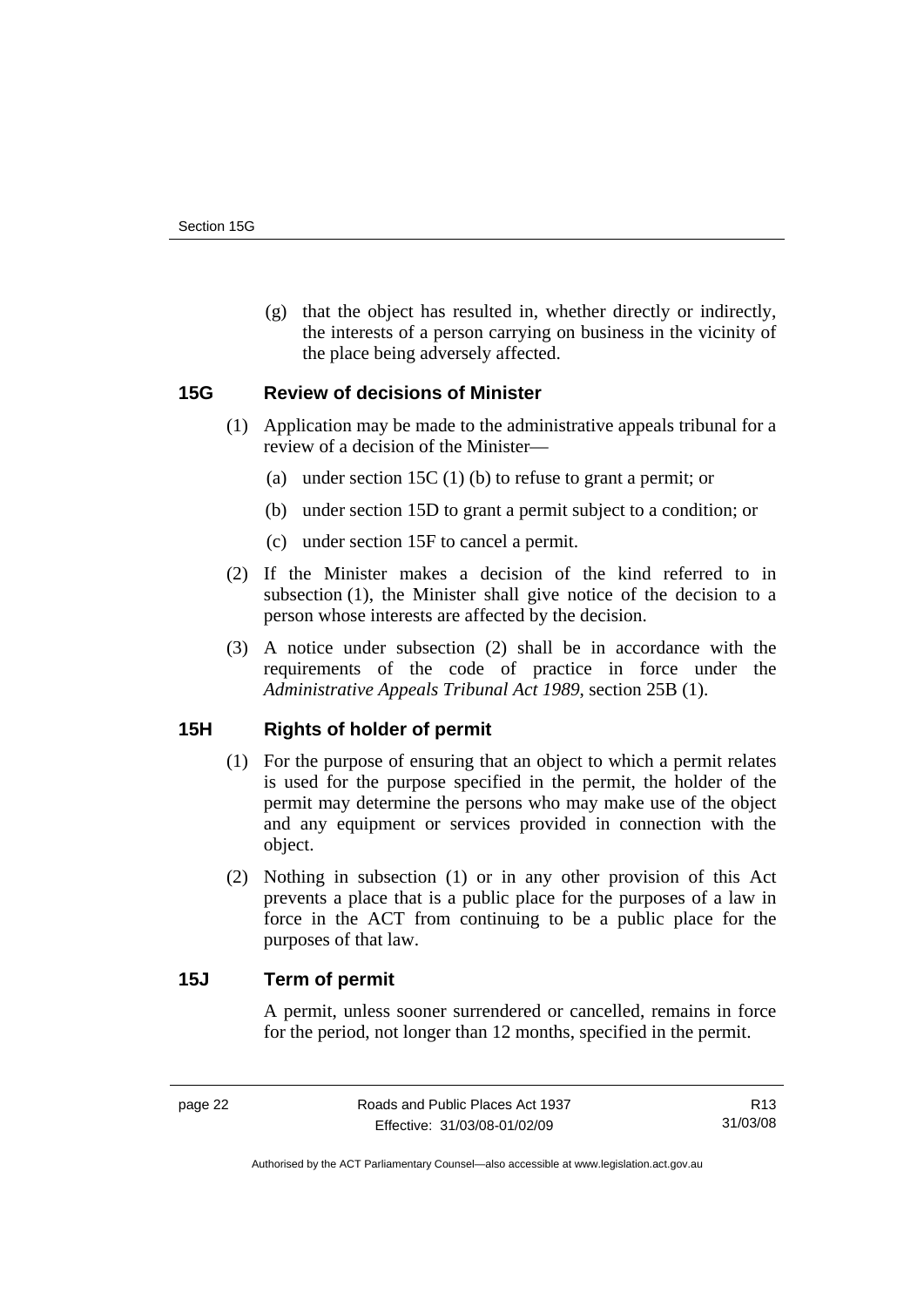<span id="page-27-0"></span> (g) that the object has resulted in, whether directly or indirectly, the interests of a person carrying on business in the vicinity of the place being adversely affected.

## **15G Review of decisions of Minister**

- (1) Application may be made to the administrative appeals tribunal for a review of a decision of the Minister—
	- (a) under section 15C (1) (b) to refuse to grant a permit; or
	- (b) under section 15D to grant a permit subject to a condition; or
	- (c) under section 15F to cancel a permit.
- (2) If the Minister makes a decision of the kind referred to in subsection (1), the Minister shall give notice of the decision to a person whose interests are affected by the decision.
- (3) A notice under subsection (2) shall be in accordance with the requirements of the code of practice in force under the *Administrative Appeals Tribunal Act 1989*, section 25B (1).

## **15H Rights of holder of permit**

- (1) For the purpose of ensuring that an object to which a permit relates is used for the purpose specified in the permit, the holder of the permit may determine the persons who may make use of the object and any equipment or services provided in connection with the object.
- (2) Nothing in subsection (1) or in any other provision of this Act prevents a place that is a public place for the purposes of a law in force in the ACT from continuing to be a public place for the purposes of that law.

## **15J Term of permit**

A permit, unless sooner surrendered or cancelled, remains in force for the period, not longer than 12 months, specified in the permit.

R13 31/03/08

Authorised by the ACT Parliamentary Counsel—also accessible at www.legislation.act.gov.au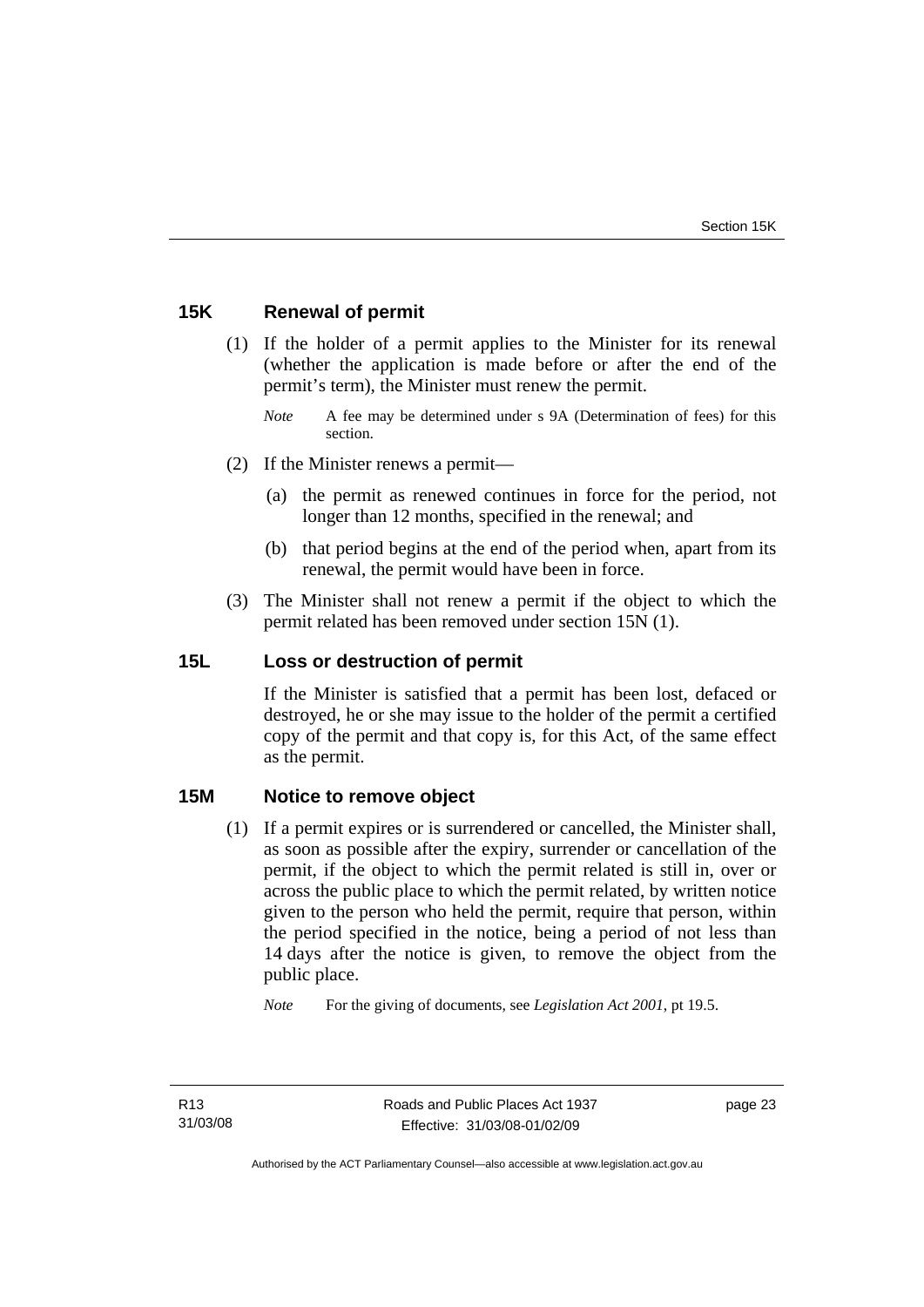## <span id="page-28-0"></span>**15K Renewal of permit**

- (1) If the holder of a permit applies to the Minister for its renewal (whether the application is made before or after the end of the permit's term), the Minister must renew the permit.
	- *Note* A fee may be determined under s 9A (Determination of fees) for this section.
- (2) If the Minister renews a permit—
	- (a) the permit as renewed continues in force for the period, not longer than 12 months, specified in the renewal; and
	- (b) that period begins at the end of the period when, apart from its renewal, the permit would have been in force.
- (3) The Minister shall not renew a permit if the object to which the permit related has been removed under section 15N (1).

## **15L Loss or destruction of permit**

If the Minister is satisfied that a permit has been lost, defaced or destroyed, he or she may issue to the holder of the permit a certified copy of the permit and that copy is, for this Act, of the same effect as the permit.

## **15M Notice to remove object**

 (1) If a permit expires or is surrendered or cancelled, the Minister shall, as soon as possible after the expiry, surrender or cancellation of the permit, if the object to which the permit related is still in, over or across the public place to which the permit related, by written notice given to the person who held the permit, require that person, within the period specified in the notice, being a period of not less than 14 days after the notice is given, to remove the object from the public place.

*Note* For the giving of documents, see *Legislation Act 2001*, pt 19.5.

page 23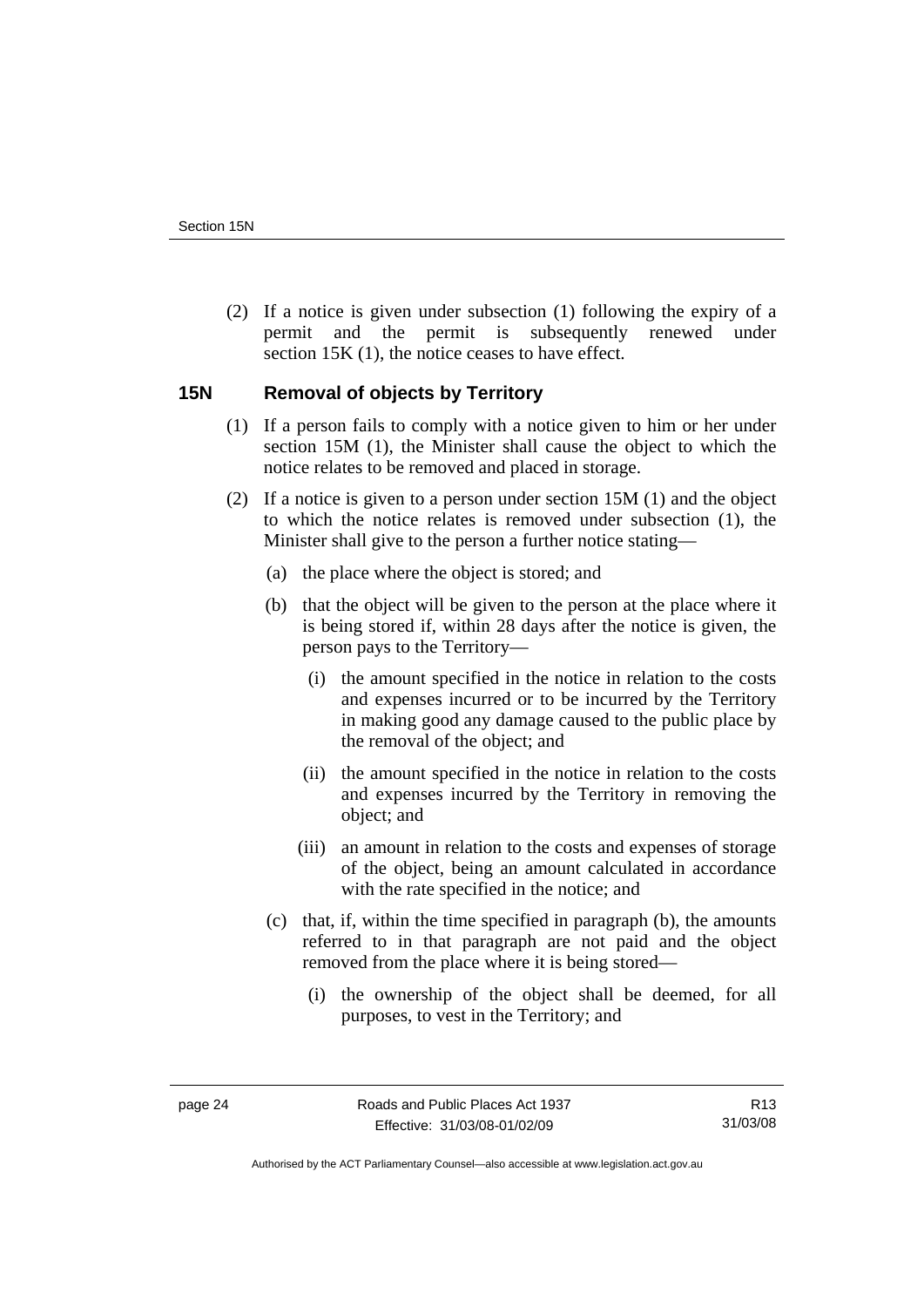<span id="page-29-0"></span> (2) If a notice is given under subsection (1) following the expiry of a permit and the permit is subsequently renewed under section 15K (1), the notice ceases to have effect.

## **15N Removal of objects by Territory**

- (1) If a person fails to comply with a notice given to him or her under section 15M (1), the Minister shall cause the object to which the notice relates to be removed and placed in storage.
- (2) If a notice is given to a person under section 15M (1) and the object to which the notice relates is removed under subsection (1), the Minister shall give to the person a further notice stating—
	- (a) the place where the object is stored; and
	- (b) that the object will be given to the person at the place where it is being stored if, within 28 days after the notice is given, the person pays to the Territory—
		- (i) the amount specified in the notice in relation to the costs and expenses incurred or to be incurred by the Territory in making good any damage caused to the public place by the removal of the object; and
		- (ii) the amount specified in the notice in relation to the costs and expenses incurred by the Territory in removing the object; and
		- (iii) an amount in relation to the costs and expenses of storage of the object, being an amount calculated in accordance with the rate specified in the notice; and
	- (c) that, if, within the time specified in paragraph (b), the amounts referred to in that paragraph are not paid and the object removed from the place where it is being stored—
		- (i) the ownership of the object shall be deemed, for all purposes, to vest in the Territory; and

R13 31/03/08

Authorised by the ACT Parliamentary Counsel—also accessible at www.legislation.act.gov.au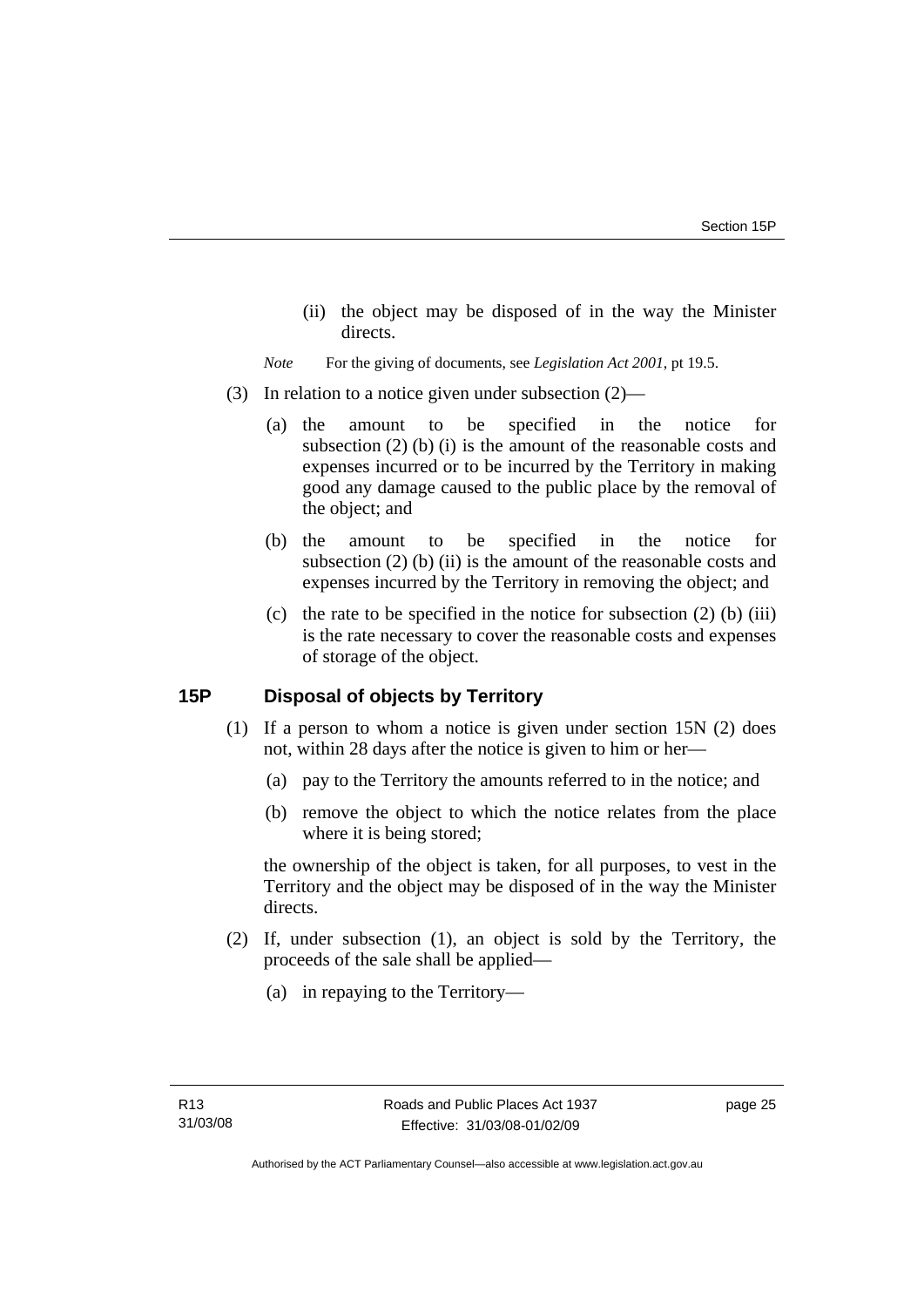- <span id="page-30-0"></span> (ii) the object may be disposed of in the way the Minister directs.
- *Note* For the giving of documents, see *Legislation Act 2001*, pt 19.5.
- (3) In relation to a notice given under subsection (2)—
	- (a) the amount to be specified in the notice for subsection (2) (b) (i) is the amount of the reasonable costs and expenses incurred or to be incurred by the Territory in making good any damage caused to the public place by the removal of the object; and
	- (b) the amount to be specified in the notice for subsection (2) (b) (ii) is the amount of the reasonable costs and expenses incurred by the Territory in removing the object; and
	- (c) the rate to be specified in the notice for subsection  $(2)$  (b) (iii) is the rate necessary to cover the reasonable costs and expenses of storage of the object.

## **15P Disposal of objects by Territory**

- (1) If a person to whom a notice is given under section 15N (2) does not, within 28 days after the notice is given to him or her—
	- (a) pay to the Territory the amounts referred to in the notice; and
	- (b) remove the object to which the notice relates from the place where it is being stored;

the ownership of the object is taken, for all purposes, to vest in the Territory and the object may be disposed of in the way the Minister directs.

- (2) If, under subsection (1), an object is sold by the Territory, the proceeds of the sale shall be applied—
	- (a) in repaying to the Territory—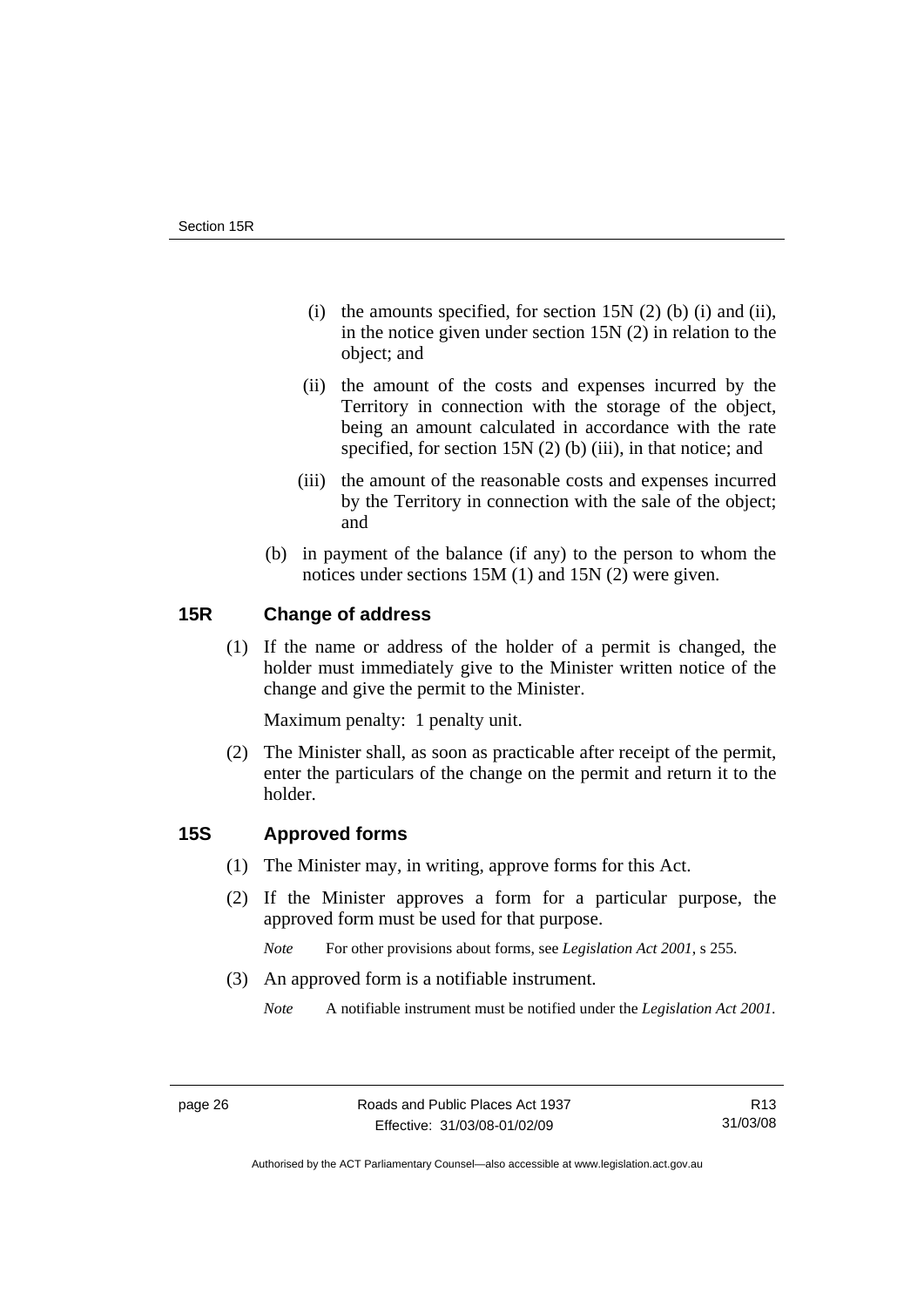- <span id="page-31-0"></span>(i) the amounts specified, for section  $15N(2)$  (b) (i) and (ii), in the notice given under section 15N (2) in relation to the object; and
- (ii) the amount of the costs and expenses incurred by the Territory in connection with the storage of the object, being an amount calculated in accordance with the rate specified, for section 15N (2) (b) (iii), in that notice; and
- (iii) the amount of the reasonable costs and expenses incurred by the Territory in connection with the sale of the object; and
- (b) in payment of the balance (if any) to the person to whom the notices under sections 15M (1) and 15N (2) were given.

## **15R Change of address**

 (1) If the name or address of the holder of a permit is changed, the holder must immediately give to the Minister written notice of the change and give the permit to the Minister.

Maximum penalty: 1 penalty unit.

 (2) The Minister shall, as soon as practicable after receipt of the permit, enter the particulars of the change on the permit and return it to the holder.

## **15S Approved forms**

- (1) The Minister may, in writing, approve forms for this Act.
- (2) If the Minister approves a form for a particular purpose, the approved form must be used for that purpose.

*Note* For other provisions about forms, see *Legislation Act 2001*, s 255.

(3) An approved form is a notifiable instrument.

*Note* A notifiable instrument must be notified under the *Legislation Act 2001*.

Authorised by the ACT Parliamentary Counsel—also accessible at www.legislation.act.gov.au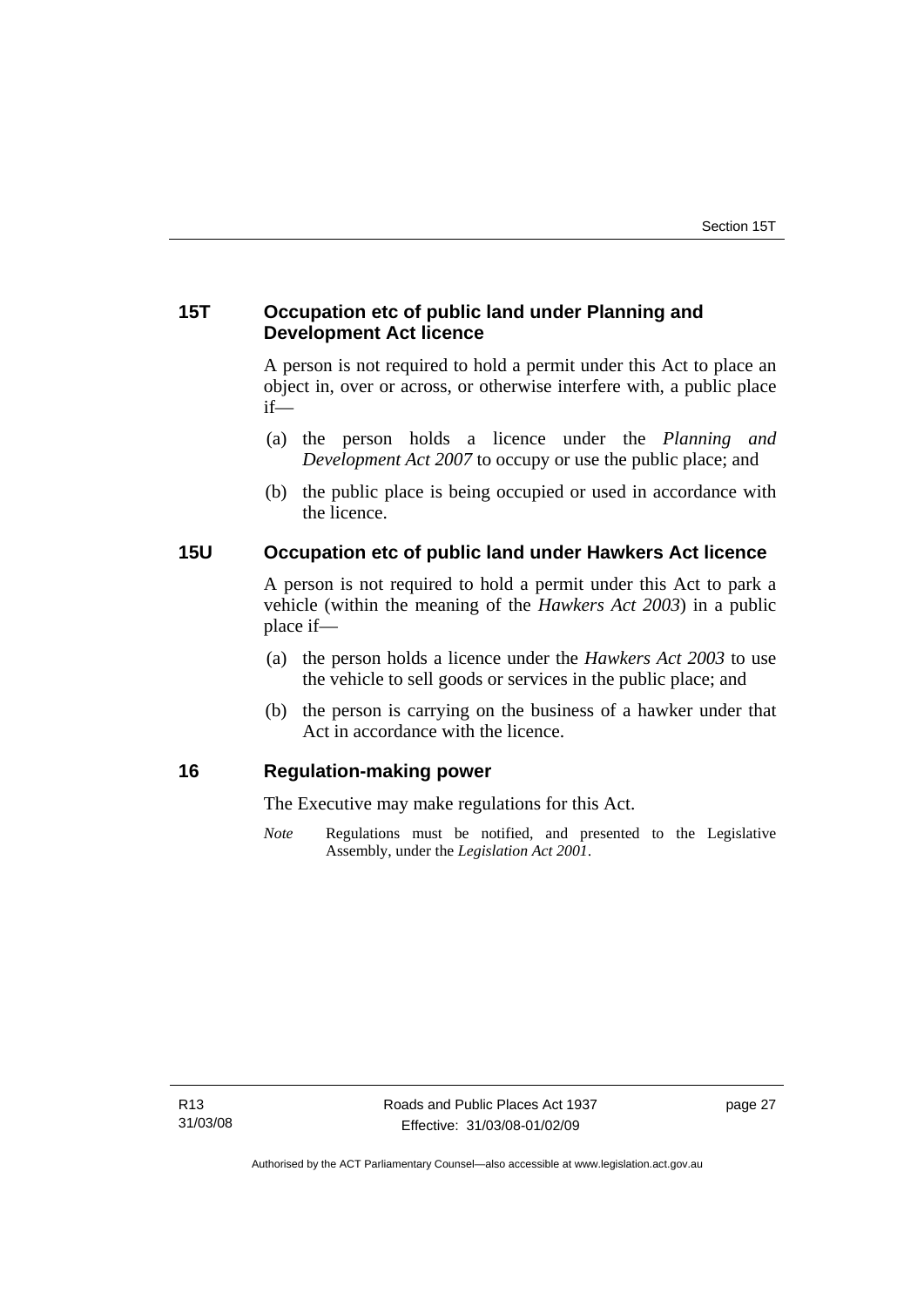## <span id="page-32-0"></span>**15T Occupation etc of public land under Planning and Development Act licence**

A person is not required to hold a permit under this Act to place an object in, over or across, or otherwise interfere with, a public place if—

- (a) the person holds a licence under the *Planning and Development Act 2007* to occupy or use the public place; and
- (b) the public place is being occupied or used in accordance with the licence.

## **15U Occupation etc of public land under Hawkers Act licence**

A person is not required to hold a permit under this Act to park a vehicle (within the meaning of the *Hawkers Act 2003*) in a public place if—

- (a) the person holds a licence under the *Hawkers Act 2003* to use the vehicle to sell goods or services in the public place; and
- (b) the person is carrying on the business of a hawker under that Act in accordance with the licence.

#### **16 Regulation-making power**

The Executive may make regulations for this Act.

*Note* Regulations must be notified, and presented to the Legislative Assembly, under the *Legislation Act 2001*.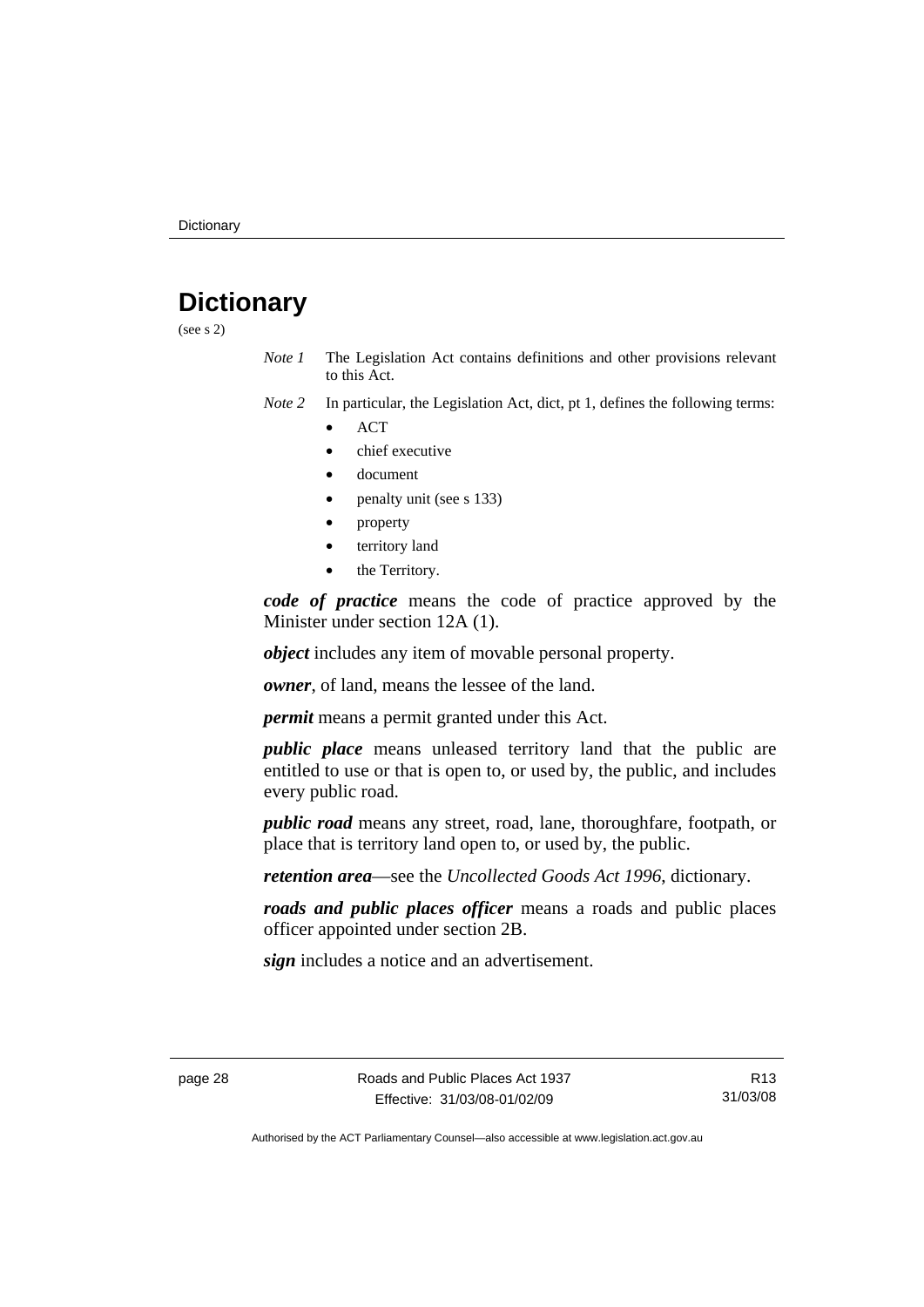## <span id="page-33-0"></span>**Dictionary**

(see s 2)

- *Note 1* The Legislation Act contains definitions and other provisions relevant to this Act.
- *Note 2* In particular, the Legislation Act, dict, pt 1, defines the following terms:
	- ACT
	- chief executive
	- document
	- penalty unit (see s 133)
	- property
	- territory land
	- the Territory.

*code of practice* means the code of practice approved by the Minister under section 12A (1).

*object* includes any item of movable personal property.

*owner*, of land, means the lessee of the land.

*permit* means a permit granted under this Act.

*public place* means unleased territory land that the public are entitled to use or that is open to, or used by, the public, and includes every public road.

*public road* means any street, road, lane, thoroughfare, footpath, or place that is territory land open to, or used by, the public.

*retention area*—see the *Uncollected Goods Act 1996*, dictionary.

*roads and public places officer* means a roads and public places officer appointed under section 2B.

*sign* includes a notice and an advertisement.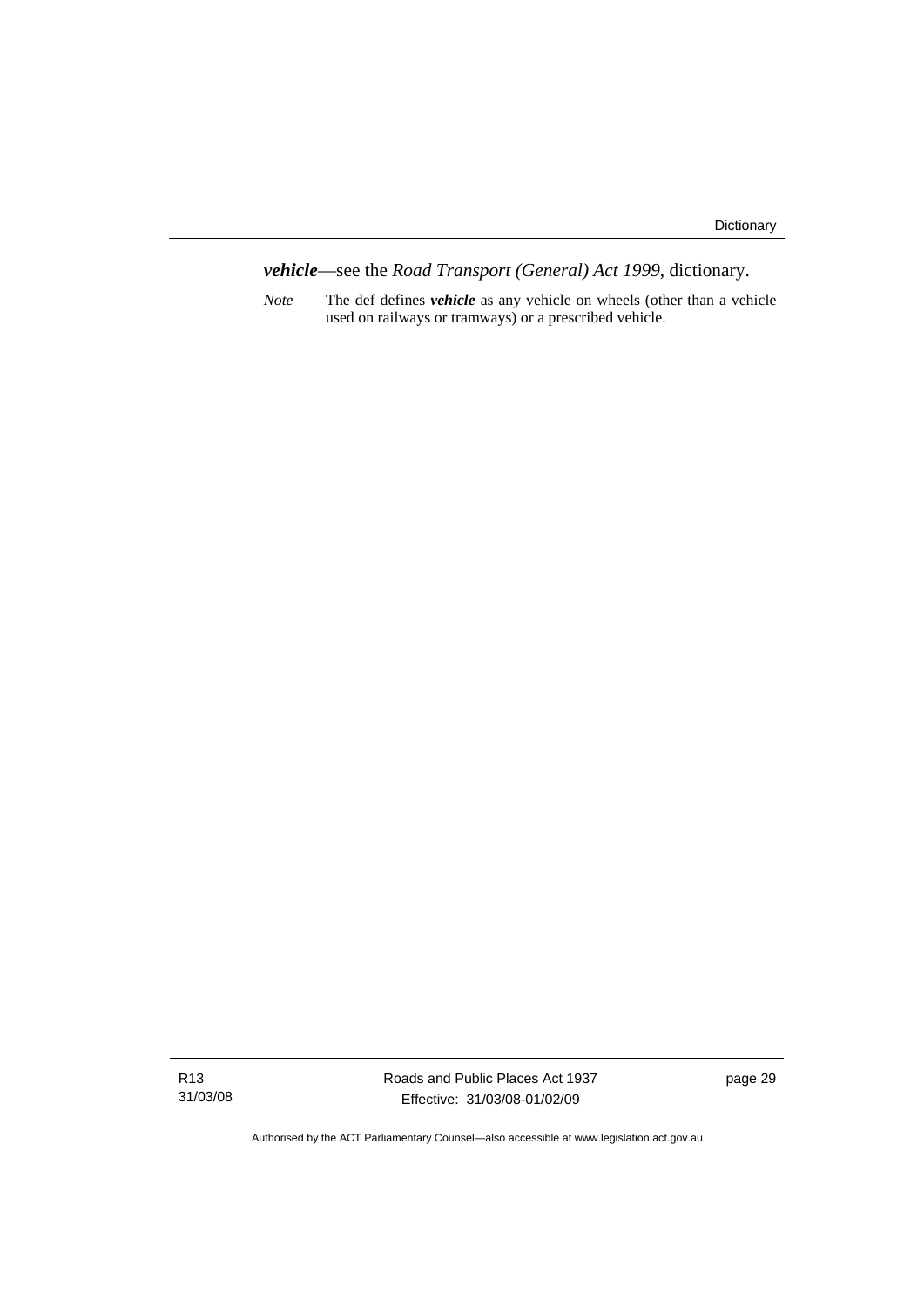*vehicle*—see the *Road Transport (General) Act 1999*, dictionary.

*Note* The def defines *vehicle* as any vehicle on wheels (other than a vehicle used on railways or tramways) or a prescribed vehicle.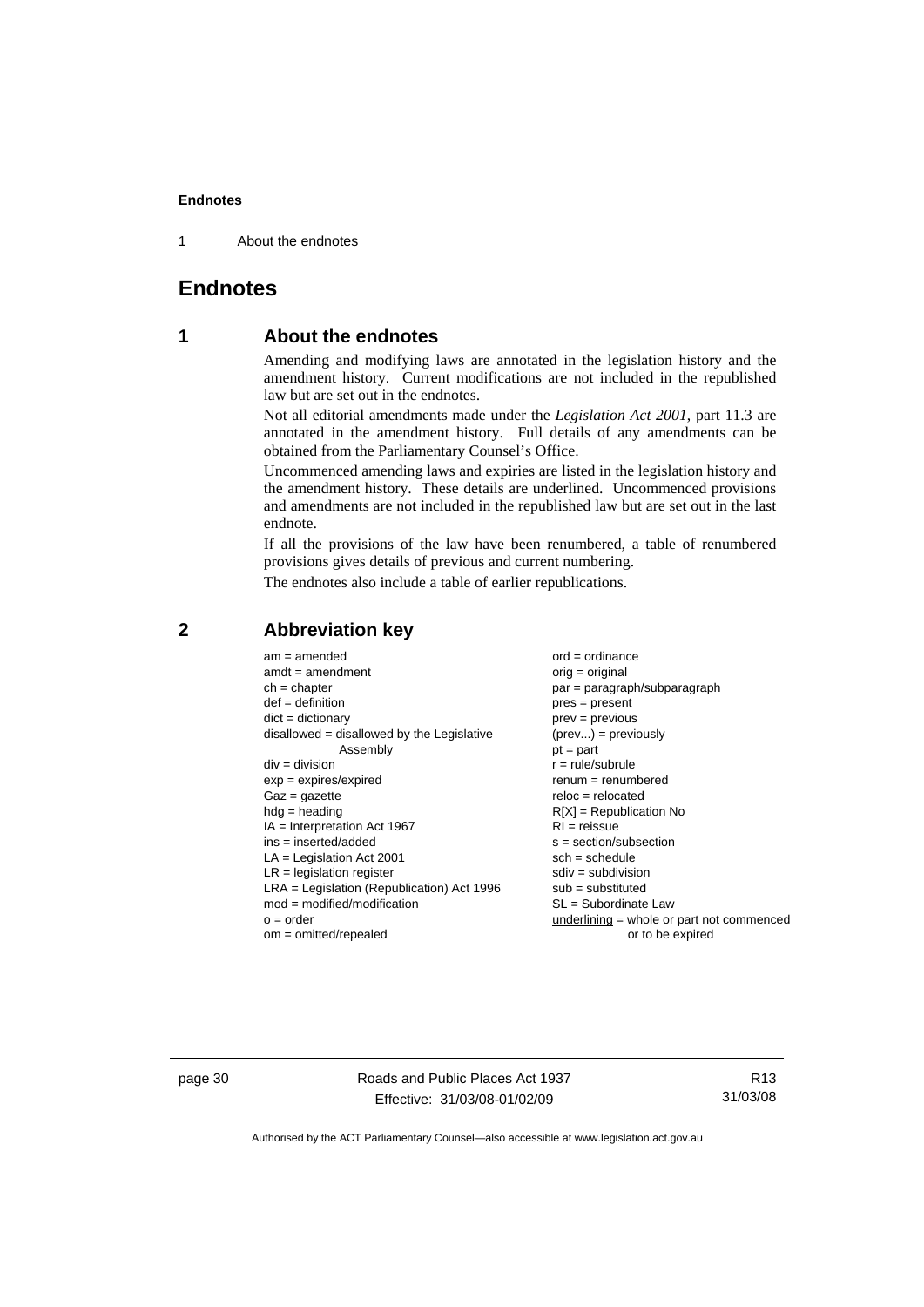<span id="page-35-0"></span>1 About the endnotes

## **Endnotes**

## **1 About the endnotes**

Amending and modifying laws are annotated in the legislation history and the amendment history. Current modifications are not included in the republished law but are set out in the endnotes.

Not all editorial amendments made under the *Legislation Act 2001*, part 11.3 are annotated in the amendment history. Full details of any amendments can be obtained from the Parliamentary Counsel's Office.

Uncommenced amending laws and expiries are listed in the legislation history and the amendment history. These details are underlined. Uncommenced provisions and amendments are not included in the republished law but are set out in the last endnote.

If all the provisions of the law have been renumbered, a table of renumbered provisions gives details of previous and current numbering.

The endnotes also include a table of earlier republications.

| $am = amended$                               | $ord = ordinance$                         |
|----------------------------------------------|-------------------------------------------|
| $amdt = amendment$                           | orig = original                           |
| $ch = chapter$                               | par = paragraph/subparagraph              |
| $def = definition$                           | $pres = present$                          |
| $dict = dictionary$                          | $prev = previous$                         |
| $disallowed = disallowed by the Legislative$ | $(\text{prev}) = \text{previously}$       |
| Assembly                                     | $pt = part$                               |
| $div = division$                             | $r = rule/subrule$                        |
| $exp = expires/expired$                      | $renum = renumbered$                      |
| $Gaz = gazette$                              | $reloc = relocated$                       |
| $h dq =$ heading                             | $R[X]$ = Republication No                 |
| $IA = Interpretation Act 1967$               | $RI = reissue$                            |
| $ins = inserted/added$                       | $s = section/subsection$                  |
| $LA =$ Legislation Act 2001                  | $sch = schedule$                          |
| $LR =$ legislation register                  | $sdiv = subdivision$                      |
| $LRA =$ Legislation (Republication) Act 1996 | $sub =$ substituted                       |
| $mod = modified/modification$                | SL = Subordinate Law                      |
| $o = order$                                  | underlining = whole or part not commenced |
| $om = omitted/repealed$                      | or to be expired                          |

#### **2 Abbreviation key**

page 30 Roads and Public Places Act 1937 Effective: 31/03/08-01/02/09

R13 31/03/08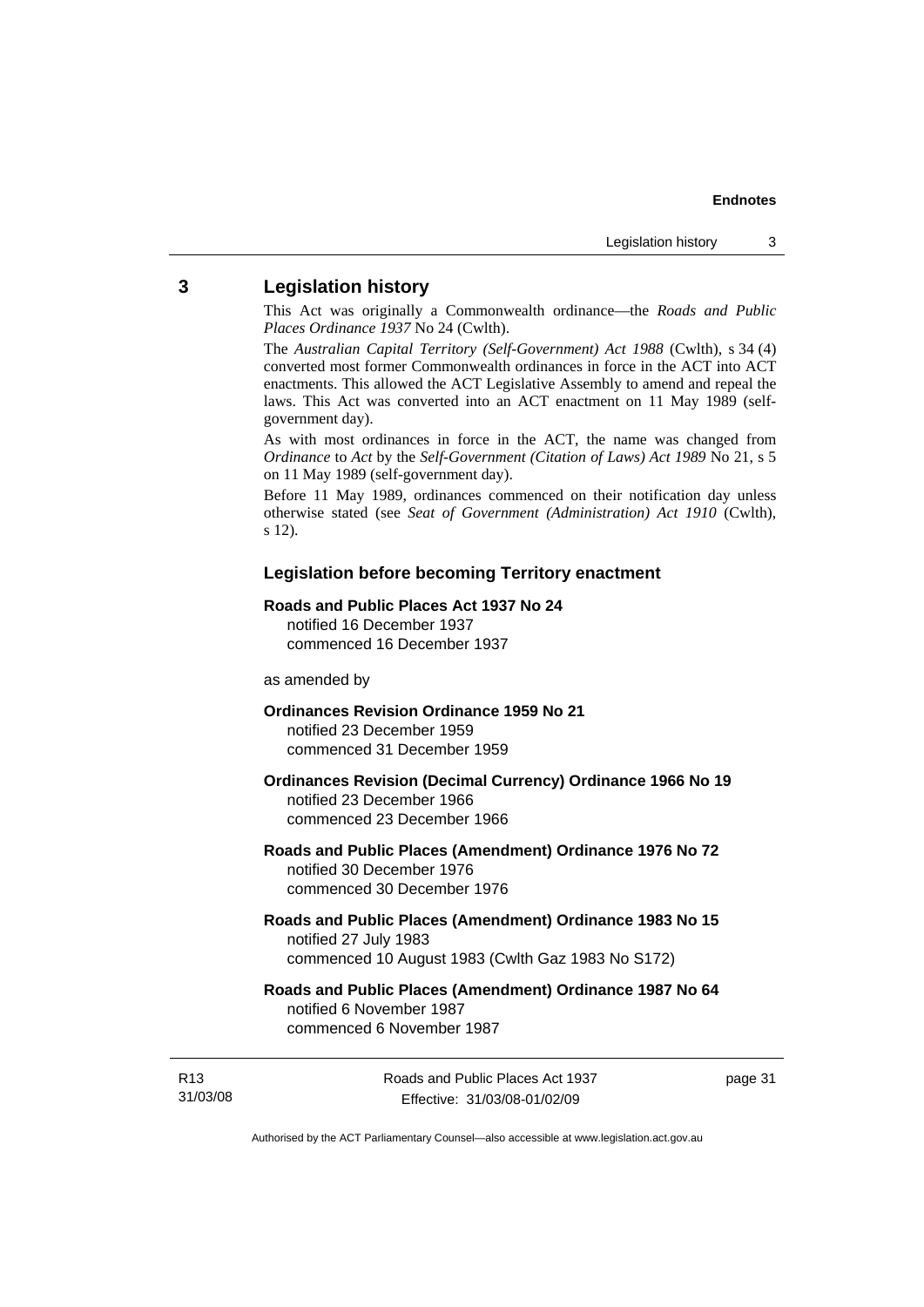## <span id="page-36-0"></span>**3 Legislation history**

This Act was originally a Commonwealth ordinance—the *Roads and Public Places Ordinance 1937* No 24 (Cwlth).

The *Australian Capital Territory (Self-Government) Act 1988* (Cwlth), s 34 (4) converted most former Commonwealth ordinances in force in the ACT into ACT enactments. This allowed the ACT Legislative Assembly to amend and repeal the laws. This Act was converted into an ACT enactment on 11 May 1989 (selfgovernment day).

As with most ordinances in force in the ACT, the name was changed from *Ordinance* to *Act* by the *Self-Government (Citation of Laws) Act 1989* No 21, s 5 on 11 May 1989 (self-government day).

Before 11 May 1989, ordinances commenced on their notification day unless otherwise stated (see *Seat of Government (Administration) Act 1910* (Cwlth), s 12).

#### **Legislation before becoming Territory enactment**

#### **Roads and Public Places Act 1937 No 24**

notified 16 December 1937 commenced 16 December 1937

#### as amended by

#### **Ordinances Revision Ordinance 1959 No 21**  notified 23 December 1959

commenced 31 December 1959

#### **Ordinances Revision (Decimal Currency) Ordinance 1966 No 19**  notified 23 December 1966 commenced 23 December 1966

#### **Roads and Public Places (Amendment) Ordinance 1976 No 72**  notified 30 December 1976 commenced 30 December 1976

#### **Roads and Public Places (Amendment) Ordinance 1983 No 15**  notified 27 July 1983 commenced 10 August 1983 (Cwlth Gaz 1983 No S172)

#### **Roads and Public Places (Amendment) Ordinance 1987 No 64**  notified 6 November 1987 commenced 6 November 1987

R13 31/03/08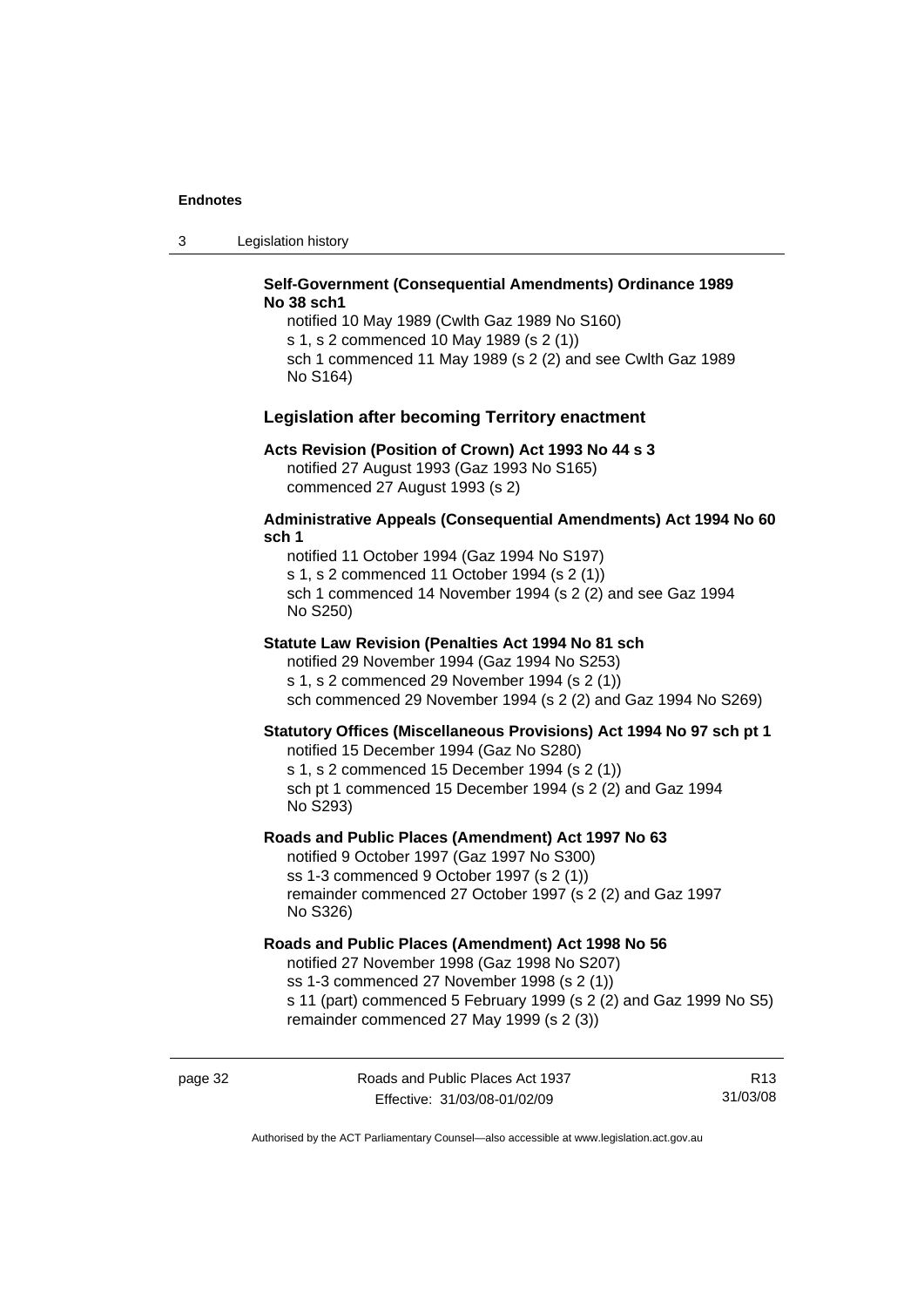3 Legislation history

#### **Self-Government (Consequential Amendments) Ordinance 1989 No 38 sch1**

notified 10 May 1989 (Cwlth Gaz 1989 No S160) s 1, s 2 commenced 10 May 1989 (s 2 (1)) sch 1 commenced 11 May 1989 (s 2 (2) and see Cwlth Gaz 1989 No S164)

#### **Legislation after becoming Territory enactment**

#### **Acts Revision (Position of Crown) Act 1993 No 44 s 3**

notified 27 August 1993 (Gaz 1993 No S165) commenced 27 August 1993 (s 2)

#### **Administrative Appeals (Consequential Amendments) Act 1994 No 60 sch 1**

notified 11 October 1994 (Gaz 1994 No S197) s 1, s 2 commenced 11 October 1994 (s 2 (1)) sch 1 commenced 14 November 1994 (s 2 (2) and see Gaz 1994 No S250)

#### **Statute Law Revision (Penalties Act 1994 No 81 sch**

notified 29 November 1994 (Gaz 1994 No S253) s 1, s 2 commenced 29 November 1994 (s 2 (1)) sch commenced 29 November 1994 (s 2 (2) and Gaz 1994 No S269)

#### **Statutory Offices (Miscellaneous Provisions) Act 1994 No 97 sch pt 1**

notified 15 December 1994 (Gaz No S280) s 1, s 2 commenced 15 December 1994 (s 2 (1)) sch pt 1 commenced 15 December 1994 (s 2 (2) and Gaz 1994 No S293)

#### **Roads and Public Places (Amendment) Act 1997 No 63**

notified 9 October 1997 (Gaz 1997 No S300) ss 1-3 commenced 9 October 1997 (s 2 (1)) remainder commenced 27 October 1997 (s 2 (2) and Gaz 1997 No S326)

#### **Roads and Public Places (Amendment) Act 1998 No 56**

notified 27 November 1998 (Gaz 1998 No S207) ss 1-3 commenced 27 November 1998 (s 2 (1)) s 11 (part) commenced 5 February 1999 (s 2 (2) and Gaz 1999 No S5) remainder commenced 27 May 1999 (s 2 (3))

page 32 Roads and Public Places Act 1937 Effective: 31/03/08-01/02/09

R13 31/03/08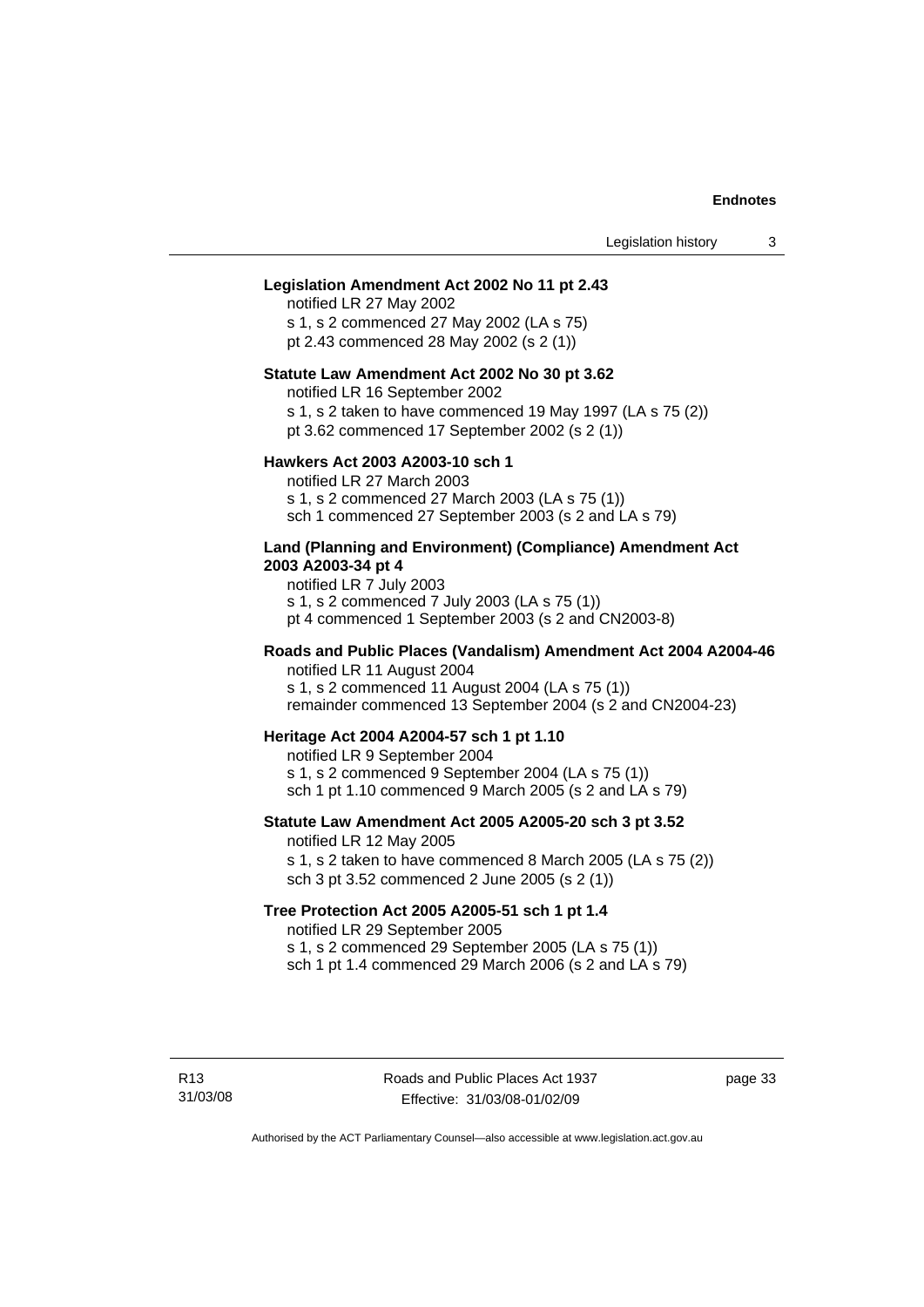#### **Legislation Amendment Act 2002 No 11 pt 2.43**

notified LR 27 May 2002 s 1, s 2 commenced 27 May 2002 (LA s 75) pt 2.43 commenced 28 May 2002 (s 2 (1))

#### **Statute Law Amendment Act 2002 No 30 pt 3.62**

notified LR 16 September 2002

s 1, s 2 taken to have commenced 19 May 1997 (LA s 75 (2))

pt 3.62 commenced 17 September 2002 (s 2 (1))

#### **Hawkers Act 2003 A2003-10 sch 1**

notified LR 27 March 2003 s 1, s 2 commenced 27 March 2003 (LA s 75 (1)) sch 1 commenced 27 September 2003 (s 2 and LA s 79)

#### **Land (Planning and Environment) (Compliance) Amendment Act 2003 A2003-34 pt 4**

notified LR 7 July 2003 s 1, s 2 commenced 7 July 2003 (LA s 75 (1)) pt 4 commenced 1 September 2003 (s 2 and CN2003-8)

#### **Roads and Public Places (Vandalism) Amendment Act 2004 A2004-46**  notified LR 11 August 2004

s 1, s 2 commenced 11 August 2004 (LA s 75 (1))

remainder commenced 13 September 2004 (s 2 and CN2004-23)

#### **Heritage Act 2004 A2004-57 sch 1 pt 1.10**

notified LR 9 September 2004 s 1, s 2 commenced 9 September 2004 (LA s 75 (1)) sch 1 pt 1.10 commenced 9 March 2005 (s 2 and  $\overline{\text{LA}}$  s 79)

## **Statute Law Amendment Act 2005 A2005-20 sch 3 pt 3.52**

notified LR 12 May 2005

s 1, s 2 taken to have commenced 8 March 2005 (LA s 75 (2)) sch 3 pt 3.52 commenced 2 June 2005 (s 2 (1))

#### **Tree Protection Act 2005 A2005-51 sch 1 pt 1.4**

notified LR 29 September 2005

s 1, s 2 commenced 29 September 2005 (LA s 75 (1))

sch 1 pt 1.4 commenced 29 March 2006 (s 2 and  $LA$  s 79)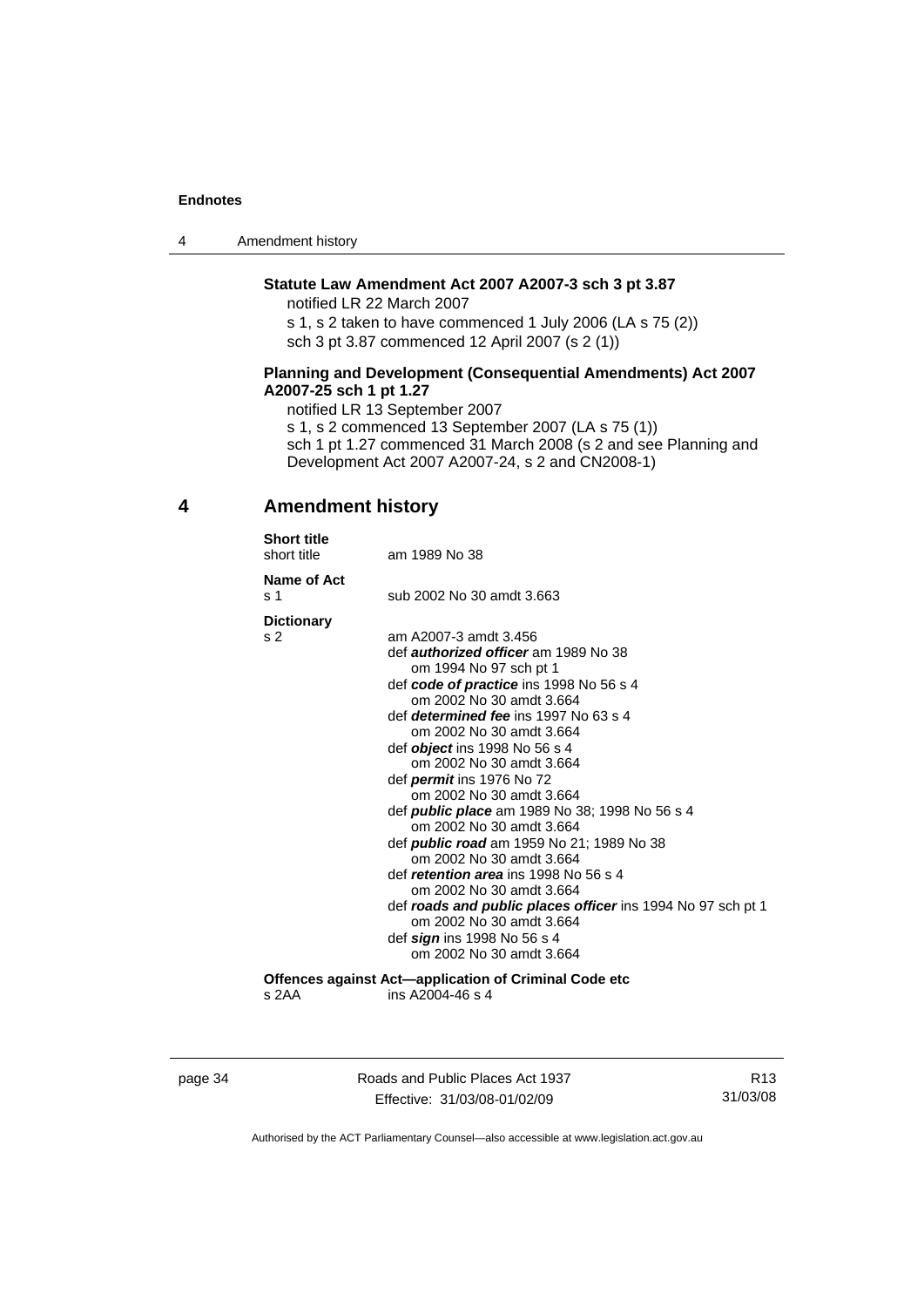<span id="page-39-0"></span>

| Amendment history<br>4 |  |
|------------------------|--|
|------------------------|--|

#### **Statute Law Amendment Act 2007 A2007-3 sch 3 pt 3.87**

notified LR 22 March 2007

s 1, s 2 taken to have commenced 1 July 2006 (LA s 75 (2)) sch 3 pt 3.87 commenced 12 April 2007 (s 2 (1))

#### **Planning and Development (Consequential Amendments) Act 2007 A2007-25 sch 1 pt 1.27**

notified LR 13 September 2007

s 1, s 2 commenced 13 September 2007 (LA s 75 (1)) sch 1 pt 1.27 commenced 31 March 2008 (s 2 and see Planning and Development Act 2007 A2007-24, s 2 and CN2008-1)

## **4 Amendment history**

| <b>Short title</b><br>short title                     | am 1989 No 38                                                      |  |  |
|-------------------------------------------------------|--------------------------------------------------------------------|--|--|
| Name of Act                                           |                                                                    |  |  |
| s 1                                                   | sub 2002 No 30 amdt 3.663                                          |  |  |
| <b>Dictionary</b>                                     |                                                                    |  |  |
| s 2                                                   | am A2007-3 amdt 3.456                                              |  |  |
|                                                       | def <i>authorized officer</i> am 1989 No 38                        |  |  |
|                                                       | om 1994 No 97 sch pt 1                                             |  |  |
|                                                       | def code of practice ins 1998 No 56 s 4                            |  |  |
|                                                       | om 2002 No 30 amdt 3.664                                           |  |  |
|                                                       | def <i>determined fee</i> ins 1997 No 63 s 4                       |  |  |
|                                                       | om 2002 No 30 amdt 3.664                                           |  |  |
|                                                       | def <i>object</i> ins 1998 No 56 s 4                               |  |  |
|                                                       | om 2002 No 30 amdt 3.664                                           |  |  |
|                                                       | def <i>permit</i> ins 1976 No 72                                   |  |  |
|                                                       | om 2002 No 30 amdt 3.664                                           |  |  |
|                                                       | def <i>public place</i> am 1989 No 38; 1998 No 56 s 4              |  |  |
|                                                       | om 2002 No 30 amdt 3.664                                           |  |  |
|                                                       | def <b>public road</b> am 1959 No 21; 1989 No 38                   |  |  |
|                                                       | om 2002 No 30 amdt 3.664                                           |  |  |
|                                                       | def <i>retention area</i> ins 1998 No 56 s 4                       |  |  |
|                                                       | om 2002 No 30 amdt 3.664                                           |  |  |
|                                                       | def <b>roads and public places officer</b> ins 1994 No 97 sch pt 1 |  |  |
|                                                       | om 2002 No 30 amdt 3.664                                           |  |  |
|                                                       | def sign ins 1998 No 56 s 4                                        |  |  |
|                                                       | om 2002 No 30 amdt 3.664                                           |  |  |
| Offences against Act—application of Criminal Code etc |                                                                    |  |  |
| s 2AA                                                 | ins A2004-46 s 4                                                   |  |  |
|                                                       |                                                                    |  |  |

page 34 Roads and Public Places Act 1937 Effective: 31/03/08-01/02/09

R13 31/03/08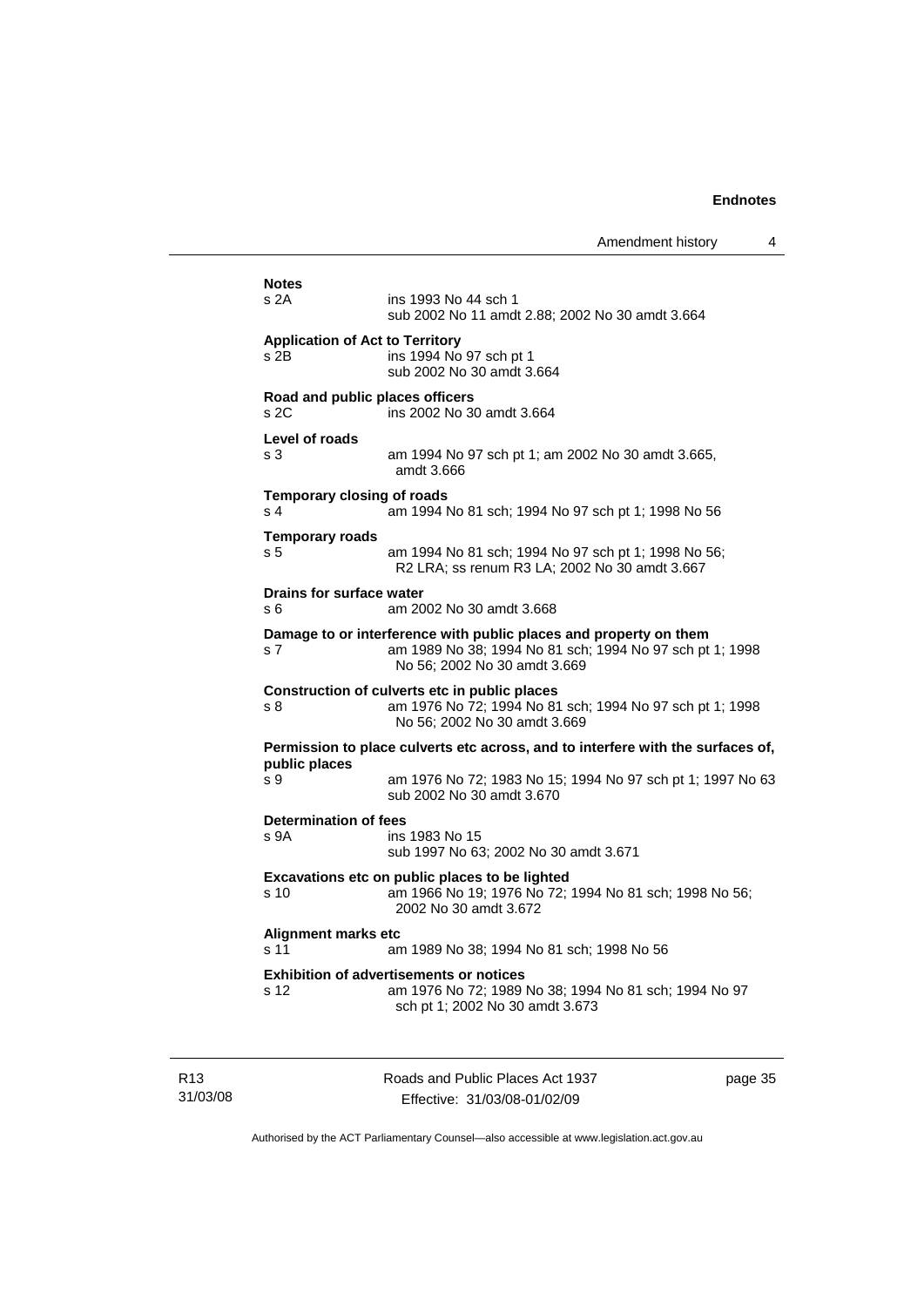| <b>Notes</b>                                        |                                                                                                                                                               |
|-----------------------------------------------------|---------------------------------------------------------------------------------------------------------------------------------------------------------------|
| s 2A                                                | ins 1993 No 44 sch 1<br>sub 2002 No 11 amdt 2.88; 2002 No 30 amdt 3.664                                                                                       |
| <b>Application of Act to Territory</b><br>s 2B.     | ins 1994 No 97 sch pt 1<br>sub 2002 No 30 amdt 3.664                                                                                                          |
| Road and public places officers<br>s <sub>2C</sub>  | ins 2002 No 30 amdt 3.664                                                                                                                                     |
| Level of roads<br>s <sub>3</sub>                    | am 1994 No 97 sch pt 1; am 2002 No 30 amdt 3.665,<br>amdt 3.666                                                                                               |
| <b>Temporary closing of roads</b><br>s <sub>4</sub> | am 1994 No 81 sch; 1994 No 97 sch pt 1; 1998 No 56                                                                                                            |
| <b>Temporary roads</b><br>s 5                       | am 1994 No 81 sch; 1994 No 97 sch pt 1; 1998 No 56;<br>R2 LRA; ss renum R3 LA; 2002 No 30 amdt 3.667                                                          |
| <b>Drains for surface water</b><br>s 6              | am 2002 No 30 amdt 3.668                                                                                                                                      |
| s 7                                                 | Damage to or interference with public places and property on them<br>am 1989 No 38; 1994 No 81 sch; 1994 No 97 sch pt 1; 1998<br>No 56: 2002 No 30 amdt 3.669 |
| s 8                                                 | Construction of culverts etc in public places<br>am 1976 No 72; 1994 No 81 sch; 1994 No 97 sch pt 1; 1998<br>No 56; 2002 No 30 amdt 3.669                     |
| public places                                       | Permission to place culverts etc across, and to interfere with the surfaces of,                                                                               |
| s 9                                                 | am 1976 No 72; 1983 No 15; 1994 No 97 sch pt 1; 1997 No 63<br>sub 2002 No 30 amdt 3.670                                                                       |
| <b>Determination of fees</b><br>s 9A                | ins 1983 No 15<br>sub 1997 No 63; 2002 No 30 amdt 3.671                                                                                                       |
| s 10                                                | Excavations etc on public places to be lighted<br>am 1966 No 19; 1976 No 72; 1994 No 81 sch; 1998 No 56;<br>2002 No 30 amdt 3.672                             |
| <b>Alignment marks etc</b><br>s 11                  | am 1989 No 38; 1994 No 81 sch; 1998 No 56                                                                                                                     |
| s 12                                                | <b>Exhibition of advertisements or notices</b><br>am 1976 No 72; 1989 No 38; 1994 No 81 sch; 1994 No 97<br>sch pt 1; 2002 No 30 amdt 3.673                    |
|                                                     |                                                                                                                                                               |

R13 31/03/08 Roads and Public Places Act 1937 Effective: 31/03/08-01/02/09

page 35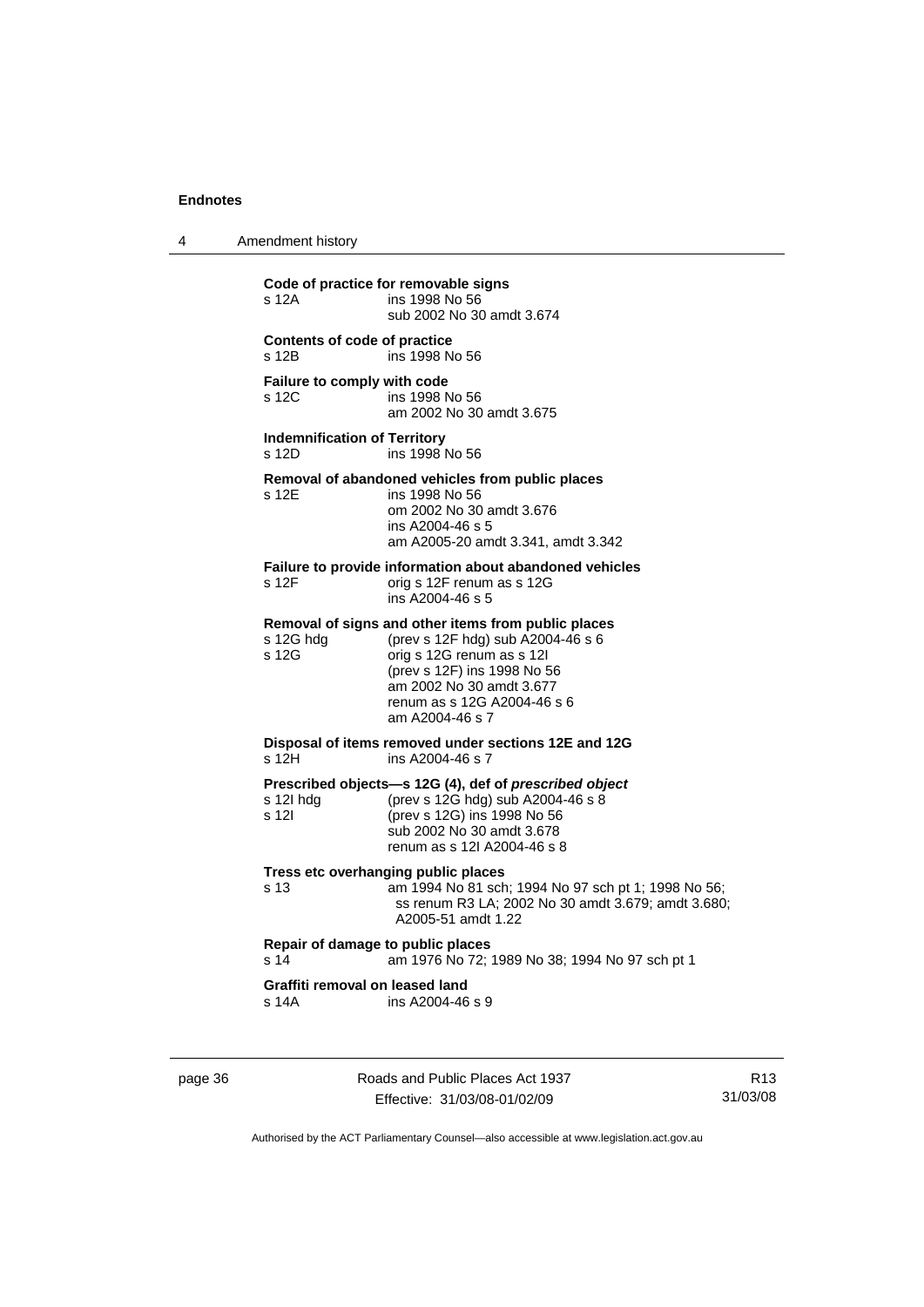4 Amendment history

**Code of practice for removable signs**  ins 1998 No 56 sub 2002 No 30 amdt 3.674 **Contents of code of practice**  s 12B ins 1998 No 56 **Failure to comply with code**<br>s 12C ins 1998 ins 1998 No 56 am 2002 No 30 amdt 3.675 **Indemnification of Territory**  s 12D ins 1998 No 56 **Removal of abandoned vehicles from public places**  s 12E ins 1998 No 56 om 2002 No 30 amdt 3.676 ins A2004-46 s 5 am A2005-20 amdt 3.341, amdt 3.342 **Failure to provide information about abandoned vehicles**  s 12F orig s 12F renum as s 12G ins A2004-46 s 5 **Removal of signs and other items from public places**  s 12G hdg (prev s 12F hdg) sub A2004-46 s 6<br>s 12G orig s 12G renum as s 12L orig s 12G renum as s 12l (prev s 12F) ins 1998 No 56 am 2002 No 30 amdt 3.677 renum as s 12G A2004-46 s 6 am A2004-46 s 7 **Disposal of items removed under sections 12E and 12G**  ins A2004-46 s 7 **Prescribed objects—s 12G (4), def of** *prescribed object* s 12I hdg (prev s 12G hdg) sub A2004-46 s 8 s 12I (prev s 12G) ins 1998 No 56 sub 2002 No 30 amdt 3.678 renum as s 12I A2004-46 s 8 **Tress etc overhanging public places**  s 13 am 1994 No 81 sch; 1994 No 97 sch pt 1; 1998 No 56; ss renum R3 LA; 2002 No 30 amdt 3.679; amdt 3.680; A2005-51 amdt 1.22 **Repair of damage to public places**<br>s 14 am 1976 No 72 am 1976 No 72; 1989 No 38; 1994 No 97 sch pt 1 **Graffiti removal on leased land**  s 14A ins A2004-46 s 9

page 36 Roads and Public Places Act 1937 Effective: 31/03/08-01/02/09

R13 31/03/08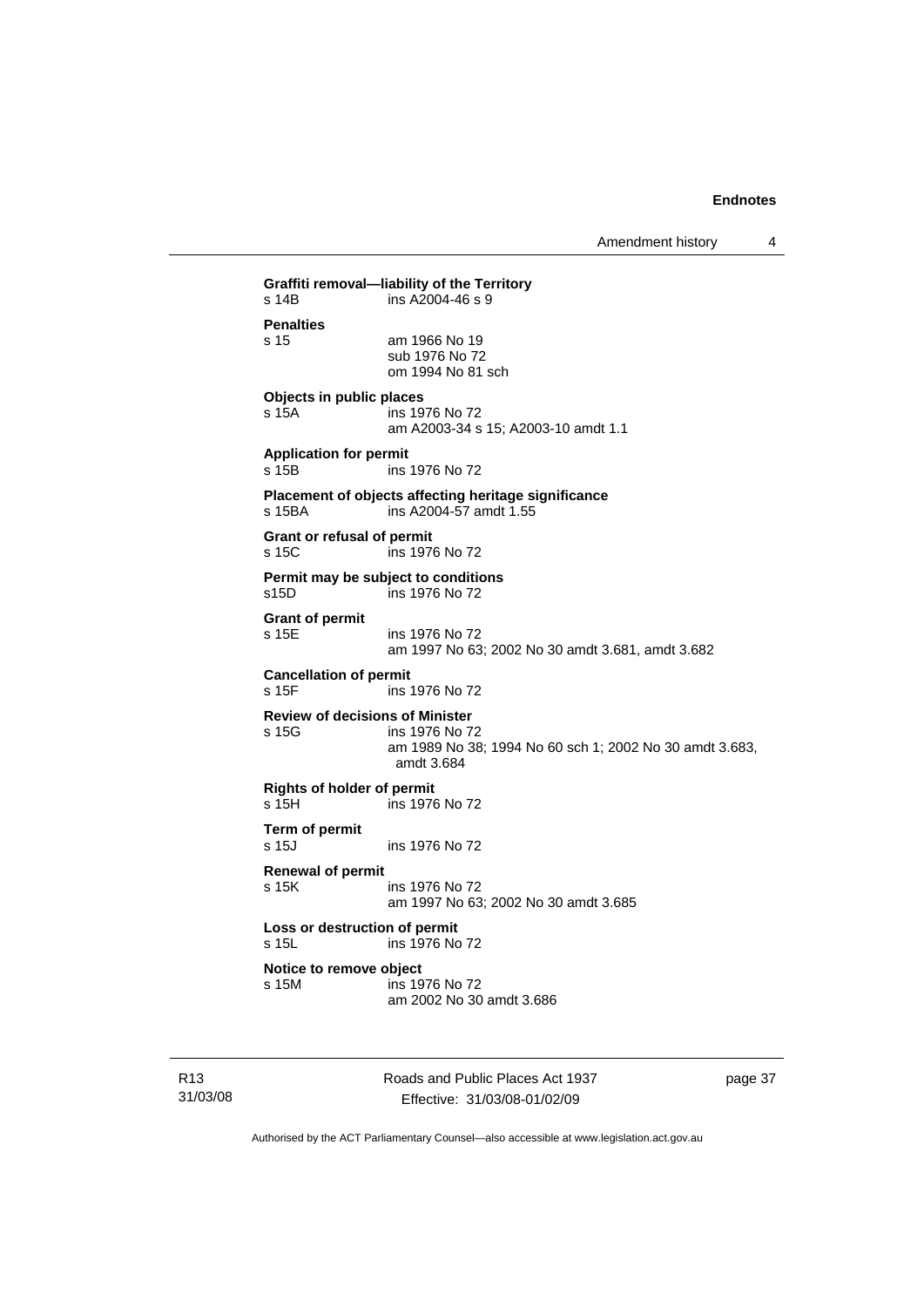Amendment history 4

**Graffiti removal—liability of the Territory**  s 14B ins A2004-46 s 9 **Penalties**  s 15 am 1966 No 19 sub 1976 No 72 om 1994 No 81 sch **Objects in public places**  s 15A ins 1976 No 72 am A2003-34 s 15; A2003-10 amdt 1.1 **Application for permit**  s 15B ins 1976 No 72 **Placement of objects affecting heritage significance**   $ins$  A2004-57 amdt 1.55 **Grant or refusal of permit**  s 15C ins 1976 No 72 **Permit may be subject to conditions**  s15D ins 1976 No 72 **Grant of permit**  s 15E ins 1976 No 72 am 1997 No 63; 2002 No 30 amdt 3.681, amdt 3.682 **Cancellation of permit**<br>s 15F **ins** ins 1976 No 72 **Review of decisions of Minister**  s 15G ins 1976 No 72 am 1989 No 38; 1994 No 60 sch 1; 2002 No 30 amdt 3.683, amdt 3.684 **Rights of holder of permit**  ins 1976 No 72 **Term of permit**  s 15J ins 1976 No 72 **Renewal of permit**  s 15K ins 1976 No 72 am 1997 No 63; 2002 No 30 amdt 3.685 **Loss or destruction of permit**  s 15L ins 1976 No 72 **Notice to remove object**  s 15M ins 1976 No 72 am 2002 No 30 amdt 3.686

R13 31/03/08 Roads and Public Places Act 1937 Effective: 31/03/08-01/02/09

page 37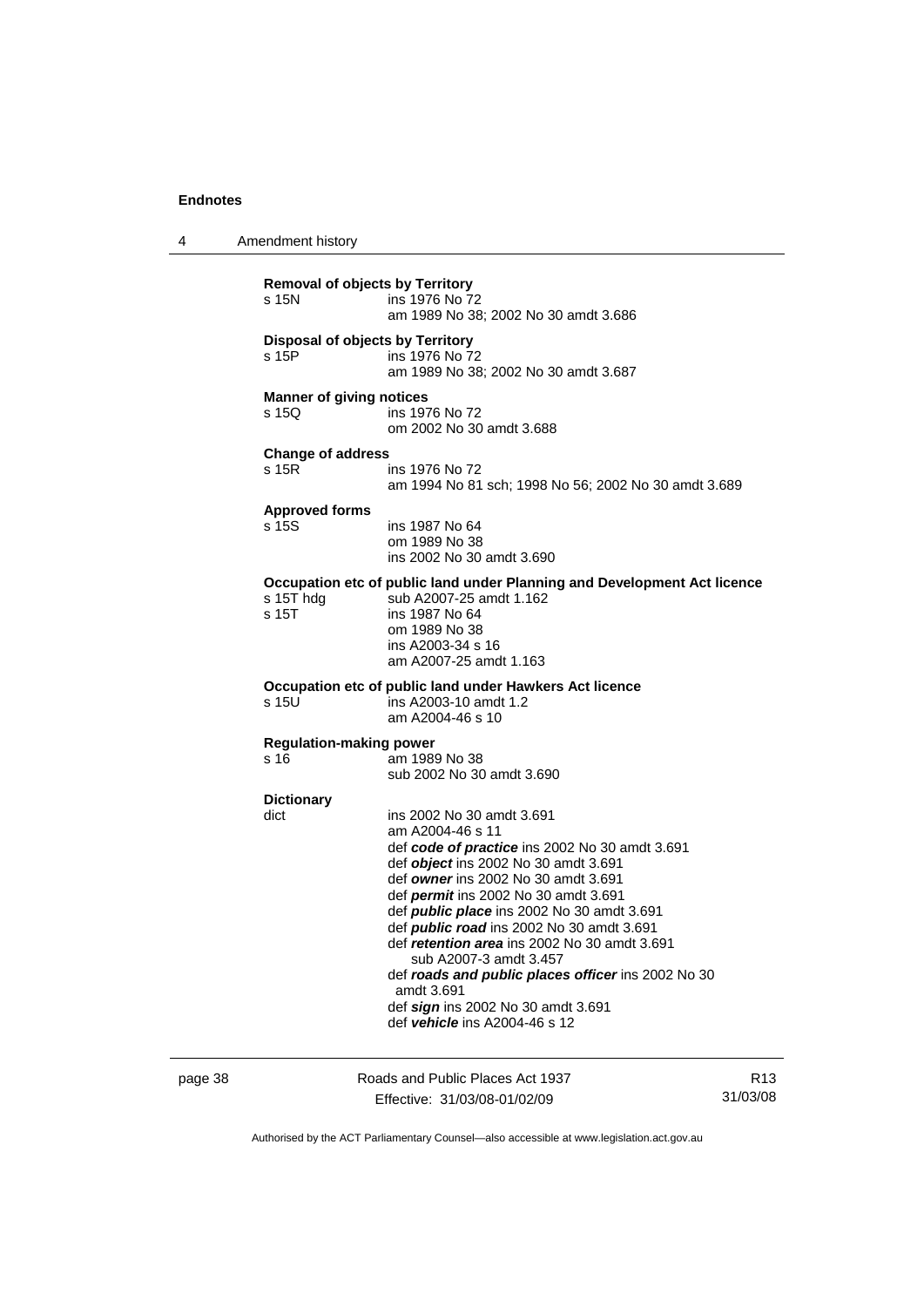4 Amendment history **Removal of objects by Territory**  ins 1976 No 72 am 1989 No 38; 2002 No 30 amdt 3.686 **Disposal of objects by Territory**  s 15P ins 1976 No 72 am 1989 No 38; 2002 No 30 amdt 3.687 **Manner of giving notices**  s 15Q ins 1976 No 72 om 2002 No 30 amdt 3.688 **Change of address**  s 15R ins 1976 No 72 am 1994 No 81 sch; 1998 No 56; 2002 No 30 amdt 3.689 **Approved forms**  s 15S ins 1987 No 64 om 1989 No 38 ins 2002 No 30 amdt 3.690 **Occupation etc of public land under Planning and Development Act licence**  s 15T hdg sub A2007-25 amdt 1.162 s 15T ins 1987 No 64 om 1989 No 38 ins A2003-34 s 16 am A2007-25 amdt 1.163 **Occupation etc of public land under Hawkers Act licence**   $ins$  A2003-10 amdt 1.2 am A2004-46 s 10 **Regulation-making power . .**<br>am 1989 No 38 sub 2002 No 30 amdt 3.690 **Dictionary**  dict ins 2002 No 30 amdt 3.691 am A2004-46 s 11 def *code of practice* ins 2002 No 30 amdt 3.691 def *object* ins 2002 No 30 amdt 3.691 def *owner* ins 2002 No 30 amdt 3.691 def *permit* ins 2002 No 30 amdt 3.691 def *public place* ins 2002 No 30 amdt 3.691 def *public road* ins 2002 No 30 amdt 3.691 def *retention area* ins 2002 No 30 amdt 3.691 sub A2007-3 amdt 3.457 def *roads and public places officer* ins 2002 No 30 amdt 3.691 def *sign* ins 2002 No 30 amdt 3.691 def *vehicle* ins A2004-46 s 12

page 38 Roads and Public Places Act 1937 Effective: 31/03/08-01/02/09

R13 31/03/08